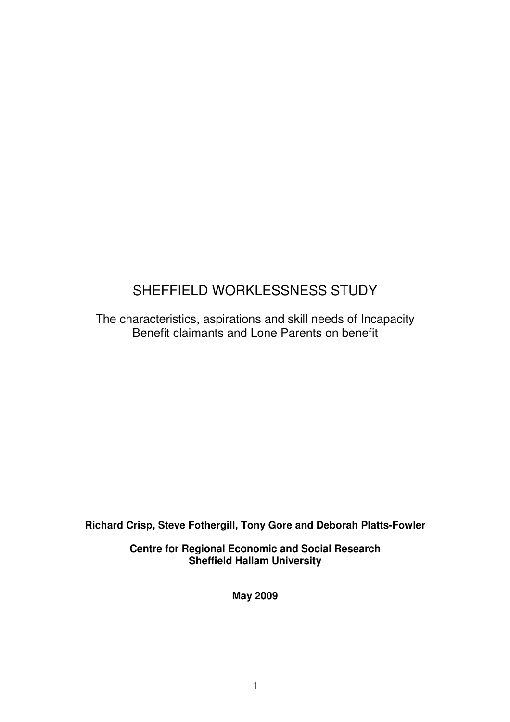# SHEFFIELD WORKLESSNESS STUDY

The characteristics, aspirations and skill needs of Incapacity Benefit claimants and Lone Parents on benefit

**Richard Crisp, Steve Fothergill, Tony Gore and Deborah Platts-Fowler** 

**Centre for Regional Economic and Social Research Sheffield Hallam University** 

**May 2009**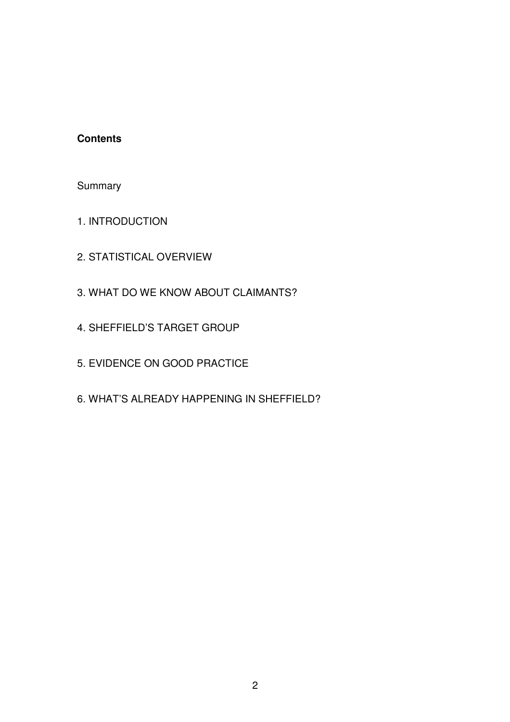## **Contents**

Summary

- 1. INTRODUCTION
- 2. STATISTICAL OVERVIEW
- 3. WHAT DO WE KNOW ABOUT CLAIMANTS?
- 4. SHEFFIELD'S TARGET GROUP
- 5. EVIDENCE ON GOOD PRACTICE
- 6. WHAT'S ALREADY HAPPENING IN SHEFFIELD?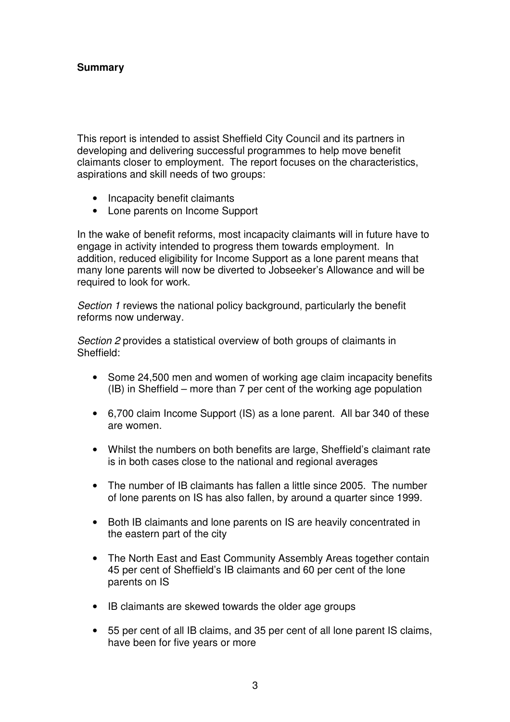This report is intended to assist Sheffield City Council and its partners in developing and delivering successful programmes to help move benefit claimants closer to employment. The report focuses on the characteristics, aspirations and skill needs of two groups:

- Incapacity benefit claimants
- Lone parents on Income Support

In the wake of benefit reforms, most incapacity claimants will in future have to engage in activity intended to progress them towards employment. In addition, reduced eligibility for Income Support as a lone parent means that many lone parents will now be diverted to Jobseeker's Allowance and will be required to look for work.

Section 1 reviews the national policy background, particularly the benefit reforms now underway.

Section 2 provides a statistical overview of both groups of claimants in Sheffield:

- Some 24,500 men and women of working age claim incapacity benefits (IB) in Sheffield – more than 7 per cent of the working age population
- 6,700 claim Income Support (IS) as a lone parent. All bar 340 of these are women.
- Whilst the numbers on both benefits are large, Sheffield's claimant rate is in both cases close to the national and regional averages
- The number of IB claimants has fallen a little since 2005. The number of lone parents on IS has also fallen, by around a quarter since 1999.
- Both IB claimants and lone parents on IS are heavily concentrated in the eastern part of the city
- The North East and East Community Assembly Areas together contain 45 per cent of Sheffield's IB claimants and 60 per cent of the lone parents on IS
- IB claimants are skewed towards the older age groups
- 55 per cent of all IB claims, and 35 per cent of all lone parent IS claims, have been for five years or more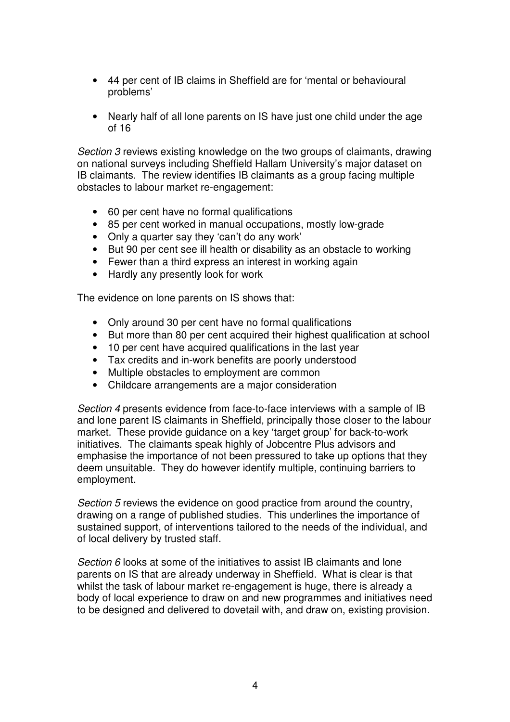- 44 per cent of IB claims in Sheffield are for 'mental or behavioural problems'
- Nearly half of all lone parents on IS have just one child under the age of 16

Section 3 reviews existing knowledge on the two groups of claimants, drawing on national surveys including Sheffield Hallam University's major dataset on IB claimants. The review identifies IB claimants as a group facing multiple obstacles to labour market re-engagement:

- 60 per cent have no formal qualifications
- 85 per cent worked in manual occupations, mostly low-grade
- Only a quarter say they 'can't do any work'
- But 90 per cent see ill health or disability as an obstacle to working
- Fewer than a third express an interest in working again
- Hardly any presently look for work

The evidence on lone parents on IS shows that:

- Only around 30 per cent have no formal qualifications
- But more than 80 per cent acquired their highest qualification at school
- 10 per cent have acquired qualifications in the last year
- Tax credits and in-work benefits are poorly understood
- Multiple obstacles to employment are common
- Childcare arrangements are a major consideration

Section 4 presents evidence from face-to-face interviews with a sample of IB and lone parent IS claimants in Sheffield, principally those closer to the labour market. These provide guidance on a key 'target group' for back-to-work initiatives. The claimants speak highly of Jobcentre Plus advisors and emphasise the importance of not been pressured to take up options that they deem unsuitable. They do however identify multiple, continuing barriers to employment.

Section 5 reviews the evidence on good practice from around the country, drawing on a range of published studies. This underlines the importance of sustained support, of interventions tailored to the needs of the individual, and of local delivery by trusted staff.

Section 6 looks at some of the initiatives to assist IB claimants and lone parents on IS that are already underway in Sheffield. What is clear is that whilst the task of labour market re-engagement is huge, there is already a body of local experience to draw on and new programmes and initiatives need to be designed and delivered to dovetail with, and draw on, existing provision.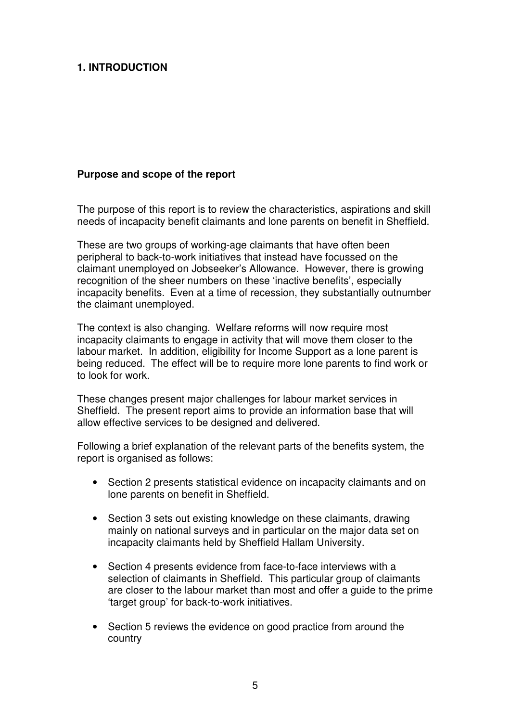## **1. INTRODUCTION**

#### **Purpose and scope of the report**

The purpose of this report is to review the characteristics, aspirations and skill needs of incapacity benefit claimants and lone parents on benefit in Sheffield.

These are two groups of working-age claimants that have often been peripheral to back-to-work initiatives that instead have focussed on the claimant unemployed on Jobseeker's Allowance. However, there is growing recognition of the sheer numbers on these 'inactive benefits', especially incapacity benefits. Even at a time of recession, they substantially outnumber the claimant unemployed.

The context is also changing. Welfare reforms will now require most incapacity claimants to engage in activity that will move them closer to the labour market. In addition, eligibility for Income Support as a lone parent is being reduced. The effect will be to require more lone parents to find work or to look for work.

These changes present major challenges for labour market services in Sheffield. The present report aims to provide an information base that will allow effective services to be designed and delivered.

Following a brief explanation of the relevant parts of the benefits system, the report is organised as follows:

- Section 2 presents statistical evidence on incapacity claimants and on lone parents on benefit in Sheffield.
- Section 3 sets out existing knowledge on these claimants, drawing mainly on national surveys and in particular on the major data set on incapacity claimants held by Sheffield Hallam University.
- Section 4 presents evidence from face-to-face interviews with a selection of claimants in Sheffield. This particular group of claimants are closer to the labour market than most and offer a guide to the prime 'target group' for back-to-work initiatives.
- Section 5 reviews the evidence on good practice from around the country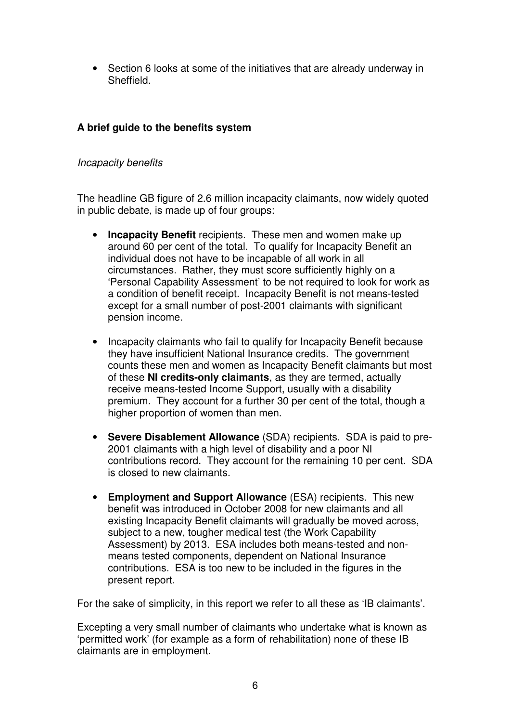• Section 6 looks at some of the initiatives that are already underway in **Sheffield** 

## **A brief guide to the benefits system**

## Incapacity benefits

The headline GB figure of 2.6 million incapacity claimants, now widely quoted in public debate, is made up of four groups:

- **Incapacity Benefit** recipients. These men and women make up around 60 per cent of the total. To qualify for Incapacity Benefit an individual does not have to be incapable of all work in all circumstances. Rather, they must score sufficiently highly on a 'Personal Capability Assessment' to be not required to look for work as a condition of benefit receipt. Incapacity Benefit is not means-tested except for a small number of post-2001 claimants with significant pension income.
- Incapacity claimants who fail to qualify for Incapacity Benefit because they have insufficient National Insurance credits. The government counts these men and women as Incapacity Benefit claimants but most of these **NI credits-only claimants**, as they are termed, actually receive means-tested Income Support, usually with a disability premium. They account for a further 30 per cent of the total, though a higher proportion of women than men.
- **Severe Disablement Allowance** (SDA) recipients. SDA is paid to pre-2001 claimants with a high level of disability and a poor NI contributions record. They account for the remaining 10 per cent. SDA is closed to new claimants.
- **Employment and Support Allowance** (ESA) recipients. This new benefit was introduced in October 2008 for new claimants and all existing Incapacity Benefit claimants will gradually be moved across, subject to a new, tougher medical test (the Work Capability Assessment) by 2013. ESA includes both means-tested and nonmeans tested components, dependent on National Insurance contributions. ESA is too new to be included in the figures in the present report.

For the sake of simplicity, in this report we refer to all these as 'IB claimants'.

Excepting a very small number of claimants who undertake what is known as 'permitted work' (for example as a form of rehabilitation) none of these IB claimants are in employment.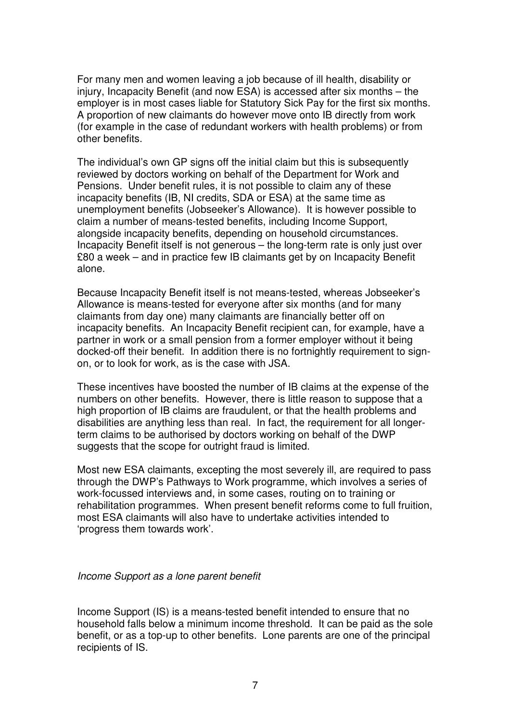For many men and women leaving a job because of ill health, disability or injury, Incapacity Benefit (and now ESA) is accessed after six months – the employer is in most cases liable for Statutory Sick Pay for the first six months. A proportion of new claimants do however move onto IB directly from work (for example in the case of redundant workers with health problems) or from other benefits.

The individual's own GP signs off the initial claim but this is subsequently reviewed by doctors working on behalf of the Department for Work and Pensions. Under benefit rules, it is not possible to claim any of these incapacity benefits (IB, NI credits, SDA or ESA) at the same time as unemployment benefits (Jobseeker's Allowance). It is however possible to claim a number of means-tested benefits, including Income Support, alongside incapacity benefits, depending on household circumstances. Incapacity Benefit itself is not generous – the long-term rate is only just over £80 a week – and in practice few IB claimants get by on Incapacity Benefit alone.

Because Incapacity Benefit itself is not means-tested, whereas Jobseeker's Allowance is means-tested for everyone after six months (and for many claimants from day one) many claimants are financially better off on incapacity benefits. An Incapacity Benefit recipient can, for example, have a partner in work or a small pension from a former employer without it being docked-off their benefit. In addition there is no fortnightly requirement to signon, or to look for work, as is the case with JSA.

These incentives have boosted the number of IB claims at the expense of the numbers on other benefits. However, there is little reason to suppose that a high proportion of IB claims are fraudulent, or that the health problems and disabilities are anything less than real. In fact, the requirement for all longerterm claims to be authorised by doctors working on behalf of the DWP suggests that the scope for outright fraud is limited.

Most new ESA claimants, excepting the most severely ill, are required to pass through the DWP's Pathways to Work programme, which involves a series of work-focussed interviews and, in some cases, routing on to training or rehabilitation programmes. When present benefit reforms come to full fruition, most ESA claimants will also have to undertake activities intended to 'progress them towards work'.

#### Income Support as a lone parent benefit

Income Support (IS) is a means-tested benefit intended to ensure that no household falls below a minimum income threshold. It can be paid as the sole benefit, or as a top-up to other benefits. Lone parents are one of the principal recipients of IS.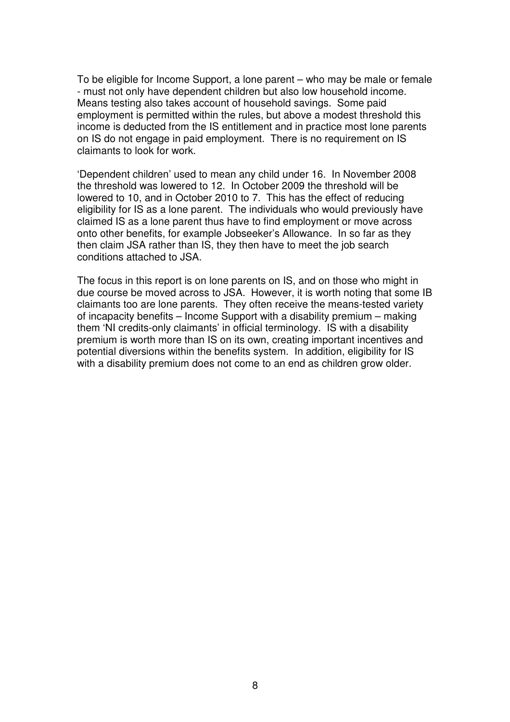To be eligible for Income Support, a lone parent – who may be male or female - must not only have dependent children but also low household income. Means testing also takes account of household savings. Some paid employment is permitted within the rules, but above a modest threshold this income is deducted from the IS entitlement and in practice most lone parents on IS do not engage in paid employment. There is no requirement on IS claimants to look for work.

'Dependent children' used to mean any child under 16. In November 2008 the threshold was lowered to 12. In October 2009 the threshold will be lowered to 10, and in October 2010 to 7. This has the effect of reducing eligibility for IS as a lone parent. The individuals who would previously have claimed IS as a lone parent thus have to find employment or move across onto other benefits, for example Jobseeker's Allowance. In so far as they then claim JSA rather than IS, they then have to meet the job search conditions attached to JSA.

The focus in this report is on lone parents on IS, and on those who might in due course be moved across to JSA. However, it is worth noting that some IB claimants too are lone parents. They often receive the means-tested variety of incapacity benefits – Income Support with a disability premium – making them 'NI credits-only claimants' in official terminology. IS with a disability premium is worth more than IS on its own, creating important incentives and potential diversions within the benefits system. In addition, eligibility for IS with a disability premium does not come to an end as children grow older.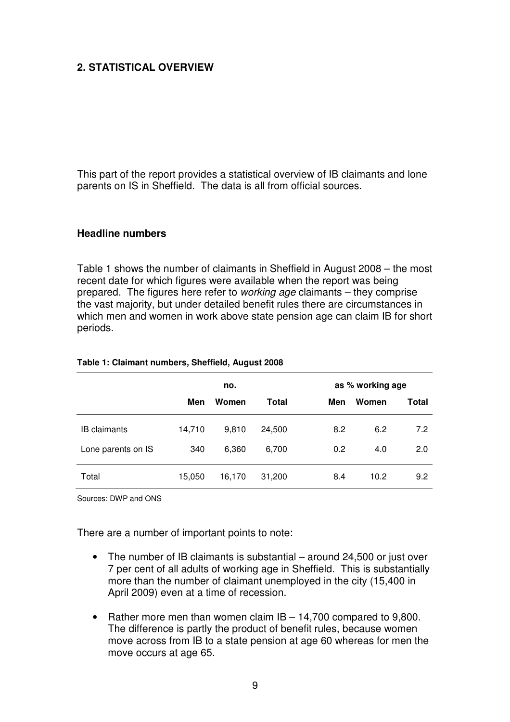## **2. STATISTICAL OVERVIEW**

This part of the report provides a statistical overview of IB claimants and lone parents on IS in Sheffield. The data is all from official sources.

#### **Headline numbers**

Table 1 shows the number of claimants in Sheffield in August 2008 – the most recent date for which figures were available when the report was being prepared. The figures here refer to working age claimants – they comprise the vast majority, but under detailed benefit rules there are circumstances in which men and women in work above state pension age can claim IB for short periods.

|                     | no.    |        |        | as % working age |       |       |
|---------------------|--------|--------|--------|------------------|-------|-------|
|                     | Men    | Women  | Total  | Men              | Women | Total |
| <b>IB</b> claimants | 14,710 | 9.810  | 24,500 | 8.2              | 6.2   | 7.2   |
| Lone parents on IS  | 340    | 6,360  | 6,700  | 0.2              | 4.0   | 2.0   |
| Total               | 15,050 | 16,170 | 31,200 | 8.4              | 10.2  | 9.2   |

#### **Table 1: Claimant numbers, Sheffield, August 2008**

Sources: DWP and ONS

There are a number of important points to note:

- The number of IB claimants is substantial around 24,500 or just over 7 per cent of all adults of working age in Sheffield. This is substantially more than the number of claimant unemployed in the city (15,400 in April 2009) even at a time of recession.
- Rather more men than women claim IB 14,700 compared to 9,800. The difference is partly the product of benefit rules, because women move across from IB to a state pension at age 60 whereas for men the move occurs at age 65.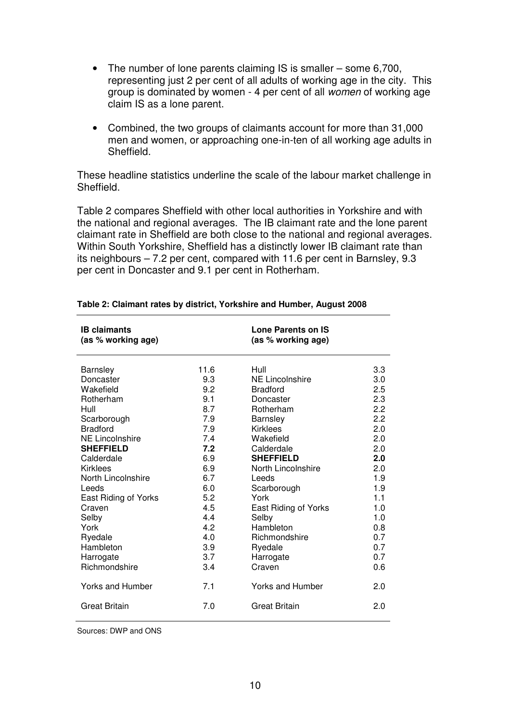- The number of lone parents claiming IS is smaller some 6,700, representing just 2 per cent of all adults of working age in the city. This group is dominated by women - 4 per cent of all women of working age claim IS as a lone parent.
- Combined, the two groups of claimants account for more than 31,000 men and women, or approaching one-in-ten of all working age adults in Sheffield.

These headline statistics underline the scale of the labour market challenge in Sheffield.

Table 2 compares Sheffield with other local authorities in Yorkshire and with the national and regional averages. The IB claimant rate and the lone parent claimant rate in Sheffield are both close to the national and regional averages. Within South Yorkshire, Sheffield has a distinctly lower IB claimant rate than its neighbours – 7.2 per cent, compared with 11.6 per cent in Barnsley, 9.3 per cent in Doncaster and 9.1 per cent in Rotherham.

| <b>IB</b> claimants<br>(as % working age) |      | Lone Parents on IS<br>(as % working age) |     |
|-------------------------------------------|------|------------------------------------------|-----|
| <b>Barnsley</b>                           | 11.6 | Hull                                     | 3.3 |
| Doncaster                                 | 9.3  | NE Lincolnshire                          | 3.0 |
| Wakefield                                 | 9.2  | <b>Bradford</b>                          | 2.5 |
| Rotherham                                 | 9.1  | Doncaster                                | 2.3 |
| Hull                                      | 8.7  | Rotherham                                | 2.2 |
| Scarborough                               | 7.9  | Barnsley                                 | 2.2 |
| <b>Bradford</b>                           | 7.9  | <b>Kirklees</b>                          | 2.0 |
| <b>NE Lincolnshire</b>                    | 7.4  | Wakefield                                | 2.0 |
| <b>SHEFFIELD</b>                          | 7.2  | Calderdale                               | 2.0 |
| Calderdale                                | 6.9  | <b>SHEFFIELD</b>                         | 2.0 |
| <b>Kirklees</b>                           | 6.9  | North Lincolnshire                       | 2.0 |
| North Lincolnshire                        | 6.7  | Leeds                                    | 1.9 |
| Leeds                                     | 6.0  | Scarborough                              | 1.9 |
| East Riding of Yorks                      | 5.2  | York                                     | 1.1 |
| Craven                                    | 4.5  | East Riding of Yorks                     | 1.0 |
| Selby                                     | 4.4  | Selby                                    | 1.0 |
| York                                      | 4.2  | Hambleton                                | 0.8 |
| Ryedale                                   | 4.0  | Richmondshire                            | 0.7 |
| Hambleton                                 | 3.9  | Ryedale                                  | 0.7 |
| Harrogate                                 | 3.7  | Harrogate                                | 0.7 |
| Richmondshire                             | 3.4  | Craven                                   | 0.6 |
| Yorks and Humber                          | 7.1  | <b>Yorks and Humber</b>                  | 2.0 |
| Great Britain                             | 7.0  | <b>Great Britain</b>                     | 2.0 |
|                                           |      |                                          |     |

#### **Table 2: Claimant rates by district, Yorkshire and Humber, August 2008**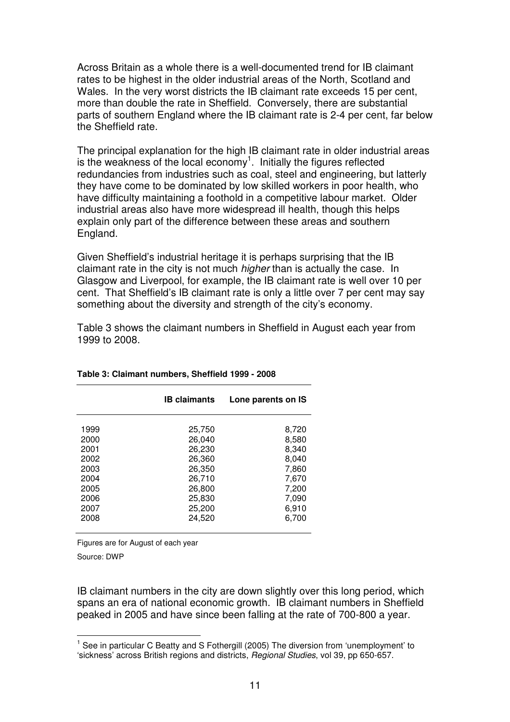Across Britain as a whole there is a well-documented trend for IB claimant rates to be highest in the older industrial areas of the North, Scotland and Wales. In the very worst districts the IB claimant rate exceeds 15 per cent, more than double the rate in Sheffield. Conversely, there are substantial parts of southern England where the IB claimant rate is 2-4 per cent, far below the Sheffield rate.

The principal explanation for the high IB claimant rate in older industrial areas is the weakness of the local economy<sup>1</sup>. Initially the figures reflected redundancies from industries such as coal, steel and engineering, but latterly they have come to be dominated by low skilled workers in poor health, who have difficulty maintaining a foothold in a competitive labour market. Older industrial areas also have more widespread ill health, though this helps explain only part of the difference between these areas and southern England.

Given Sheffield's industrial heritage it is perhaps surprising that the IB claimant rate in the city is not much *higher* than is actually the case. In Glasgow and Liverpool, for example, the IB claimant rate is well over 10 per cent. That Sheffield's IB claimant rate is only a little over 7 per cent may say something about the diversity and strength of the city's economy.

Table 3 shows the claimant numbers in Sheffield in August each year from 1999 to 2008.

|                                                                      | <b>IB claimants</b>                                                                    | Lone parents on IS                                                            |
|----------------------------------------------------------------------|----------------------------------------------------------------------------------------|-------------------------------------------------------------------------------|
| 1999<br>2000<br>2001<br>2002<br>2003<br>2004<br>2005<br>2006<br>2007 | 25,750<br>26,040<br>26,230<br>26,360<br>26,350<br>26,710<br>26,800<br>25,830<br>25,200 | 8,720<br>8,580<br>8,340<br>8,040<br>7,860<br>7,670<br>7,200<br>7.090<br>6,910 |
| 2008                                                                 | 24,520                                                                                 | 6,700                                                                         |

**Table 3: Claimant numbers, Sheffield 1999 - 2008** 

Figures are for August of each year

Source: DWP

IB claimant numbers in the city are down slightly over this long period, which spans an era of national economic growth. IB claimant numbers in Sheffield peaked in 2005 and have since been falling at the rate of 700-800 a year.

 1 See in particular C Beatty and S Fothergill (2005) The diversion from 'unemployment' to 'sickness' across British regions and districts, Regional Studies, vol 39, pp 650-657.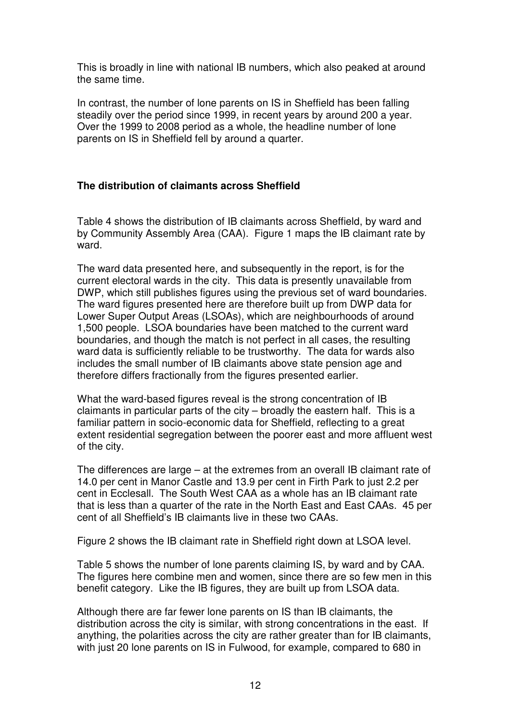This is broadly in line with national IB numbers, which also peaked at around the same time.

In contrast, the number of lone parents on IS in Sheffield has been falling steadily over the period since 1999, in recent years by around 200 a year. Over the 1999 to 2008 period as a whole, the headline number of lone parents on IS in Sheffield fell by around a quarter.

## **The distribution of claimants across Sheffield**

Table 4 shows the distribution of IB claimants across Sheffield, by ward and by Community Assembly Area (CAA). Figure 1 maps the IB claimant rate by ward.

The ward data presented here, and subsequently in the report, is for the current electoral wards in the city. This data is presently unavailable from DWP, which still publishes figures using the previous set of ward boundaries. The ward figures presented here are therefore built up from DWP data for Lower Super Output Areas (LSOAs), which are neighbourhoods of around 1,500 people. LSOA boundaries have been matched to the current ward boundaries, and though the match is not perfect in all cases, the resulting ward data is sufficiently reliable to be trustworthy. The data for wards also includes the small number of IB claimants above state pension age and therefore differs fractionally from the figures presented earlier.

What the ward-based figures reveal is the strong concentration of IB claimants in particular parts of the city – broadly the eastern half. This is a familiar pattern in socio-economic data for Sheffield, reflecting to a great extent residential segregation between the poorer east and more affluent west of the city.

The differences are large – at the extremes from an overall IB claimant rate of 14.0 per cent in Manor Castle and 13.9 per cent in Firth Park to just 2.2 per cent in Ecclesall. The South West CAA as a whole has an IB claimant rate that is less than a quarter of the rate in the North East and East CAAs. 45 per cent of all Sheffield's IB claimants live in these two CAAs.

Figure 2 shows the IB claimant rate in Sheffield right down at LSOA level.

Table 5 shows the number of lone parents claiming IS, by ward and by CAA. The figures here combine men and women, since there are so few men in this benefit category. Like the IB figures, they are built up from LSOA data.

Although there are far fewer lone parents on IS than IB claimants, the distribution across the city is similar, with strong concentrations in the east. If anything, the polarities across the city are rather greater than for IB claimants, with just 20 lone parents on IS in Fulwood, for example, compared to 680 in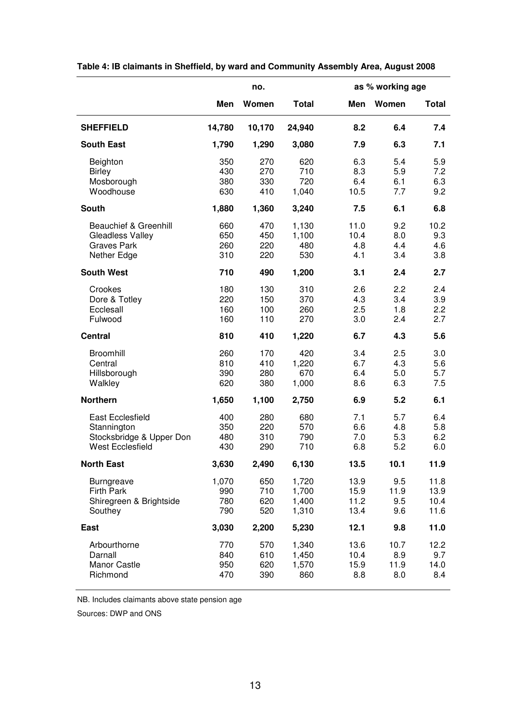|                                                                                               |                            | no.                      |                                  |                              | as % working age           |                              |
|-----------------------------------------------------------------------------------------------|----------------------------|--------------------------|----------------------------------|------------------------------|----------------------------|------------------------------|
|                                                                                               | Men                        | Women                    | <b>Total</b>                     | Men                          | Women                      | <b>Total</b>                 |
| <b>SHEFFIELD</b>                                                                              | 14,780                     | 10,170                   | 24,940                           | 8.2                          | 6.4                        | 7.4                          |
| <b>South East</b>                                                                             | 1,790                      | 1,290                    | 3,080                            | 7.9                          | 6.3                        | 7.1                          |
| Beighton<br><b>Birley</b><br>Mosborough<br>Woodhouse                                          | 350<br>430<br>380<br>630   | 270<br>270<br>330<br>410 | 620<br>710<br>720<br>1,040       | 6.3<br>8.3<br>6.4<br>10.5    | 5.4<br>5.9<br>6.1<br>7.7   | 5.9<br>7.2<br>6.3<br>9.2     |
| <b>South</b>                                                                                  | 1,880                      | 1,360                    | 3,240                            | 7.5                          | 6.1                        | 6.8                          |
| <b>Beauchief &amp; Greenhill</b><br>Gleadless Valley<br><b>Graves Park</b><br>Nether Edge     | 660<br>650<br>260<br>310   | 470<br>450<br>220<br>220 | 1,130<br>1,100<br>480<br>530     | 11.0<br>10.4<br>4.8<br>4.1   | 9.2<br>8.0<br>4.4<br>3.4   | 10.2<br>9.3<br>4.6<br>3.8    |
| <b>South West</b>                                                                             | 710                        | 490                      | 1,200                            | 3.1                          | 2.4                        | 2.7                          |
| Crookes<br>Dore & Totley<br>Ecclesall<br>Fulwood                                              | 180<br>220<br>160<br>160   | 130<br>150<br>100<br>110 | 310<br>370<br>260<br>270         | 2.6<br>4.3<br>2.5<br>3.0     | 2.2<br>3.4<br>1.8<br>2.4   | 2.4<br>3.9<br>2.2<br>2.7     |
| <b>Central</b>                                                                                | 810                        | 410                      | 1,220                            | 6.7                          | 4.3                        | 5.6                          |
| Broomhill<br>Central<br>Hillsborough<br>Walkley                                               | 260<br>810<br>390<br>620   | 170<br>410<br>280<br>380 | 420<br>1,220<br>670<br>1,000     | 3.4<br>6.7<br>6.4<br>8.6     | 2.5<br>4.3<br>5.0<br>6.3   | 3.0<br>5.6<br>5.7<br>7.5     |
| <b>Northern</b>                                                                               | 1,650                      | 1,100                    | 2,750                            | 6.9                          | 5.2                        | 6.1                          |
| <b>East Ecclesfield</b><br>Stannington<br>Stocksbridge & Upper Don<br><b>West Ecclesfield</b> | 400<br>350<br>480<br>430   | 280<br>220<br>310<br>290 | 680<br>570<br>790<br>710         | 7.1<br>6.6<br>7.0<br>6.8     | 5.7<br>4.8<br>5.3<br>5.2   | 6.4<br>5.8<br>6.2<br>6.0     |
| <b>North East</b>                                                                             | 3,630                      | 2,490                    | 6,130                            | 13.5                         | 10.1                       | 11.9                         |
| <b>Burngreave</b><br><b>Firth Park</b><br>Shiregreen & Brightside<br>Southey                  | 1,070<br>990<br>780<br>790 | 650<br>710<br>620<br>520 | 1,720<br>1,700<br>1,400<br>1,310 | 13.9<br>15.9<br>11.2<br>13.4 | 9.5<br>11.9<br>9.5<br>9.6  | 11.8<br>13.9<br>10.4<br>11.6 |
| <b>East</b>                                                                                   | 3,030                      | 2,200                    | 5,230                            | 12.1                         | 9.8                        | 11.0                         |
| Arbourthorne<br>Darnall<br>Manor Castle<br>Richmond                                           | 770<br>840<br>950<br>470   | 570<br>610<br>620<br>390 | 1,340<br>1,450<br>1,570<br>860   | 13.6<br>10.4<br>15.9<br>8.8  | 10.7<br>8.9<br>11.9<br>8.0 | 12.2<br>9.7<br>14.0<br>8.4   |

## **Table 4: IB claimants in Sheffield, by ward and Community Assembly Area, August 2008**

NB. Includes claimants above state pension age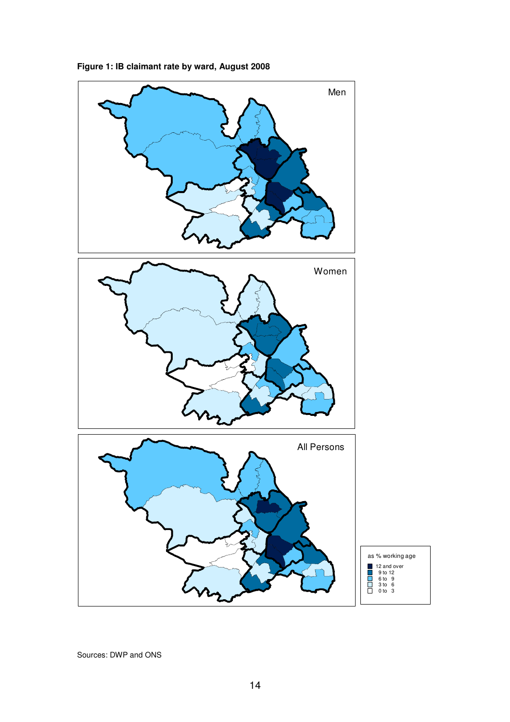

**Figure 1: IB claimant rate by ward, August 2008**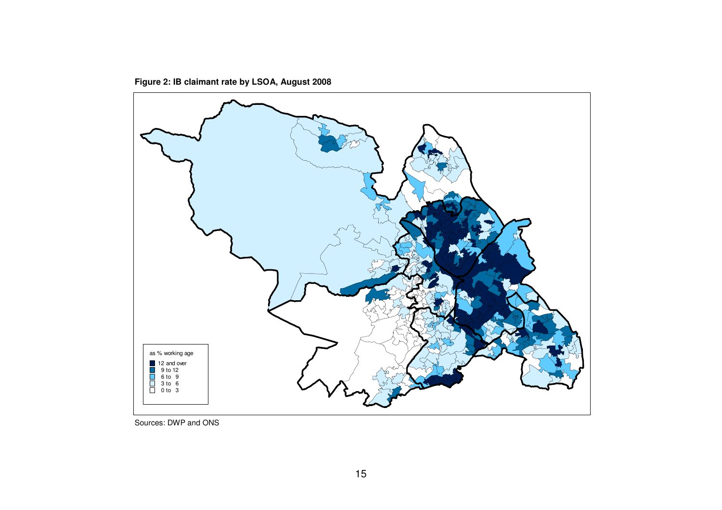**Figure 2: IB claimant rate by LSOA, August 2008** 



Sources: DWP and ONS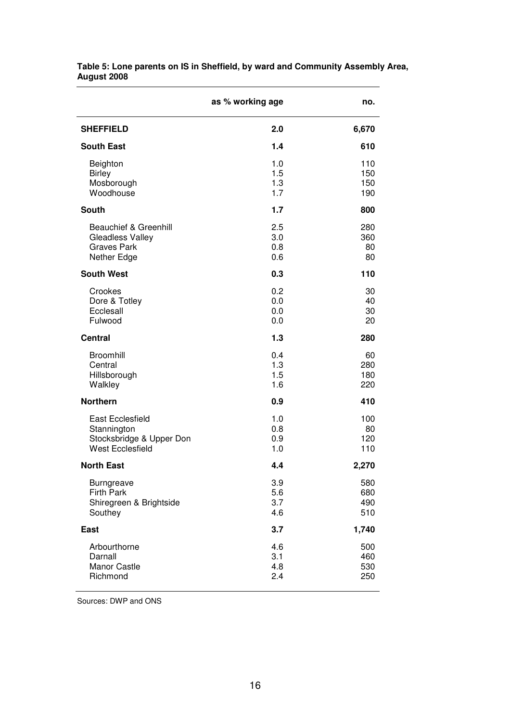|                                                                                               | as % working age         | no.                      |
|-----------------------------------------------------------------------------------------------|--------------------------|--------------------------|
| <b>SHEFFIELD</b>                                                                              | 2.0                      | 6,670                    |
| <b>South East</b>                                                                             | 1.4                      | 610                      |
| Beighton<br><b>Birley</b><br>Mosborough<br>Woodhouse                                          | 1.0<br>1.5<br>1.3<br>1.7 | 110<br>150<br>150<br>190 |
| <b>South</b>                                                                                  | 1.7                      | 800                      |
| <b>Beauchief &amp; Greenhill</b><br>Gleadless Valley<br><b>Graves Park</b><br>Nether Edge     | 2.5<br>3.0<br>0.8<br>0.6 | 280<br>360<br>80<br>80   |
| <b>South West</b>                                                                             | 0.3                      | 110                      |
| Crookes<br>Dore & Totley<br>Ecclesall<br>Fulwood                                              | 0.2<br>0.0<br>0.0<br>0.0 | 30<br>40<br>30<br>20     |
| <b>Central</b>                                                                                | 1.3                      | 280                      |
| Broomhill<br>Central<br>Hillsborough<br>Walkley                                               | 0.4<br>1.3<br>1.5<br>1.6 | 60<br>280<br>180<br>220  |
| <b>Northern</b>                                                                               | 0.9                      | 410                      |
| <b>East Ecclesfield</b><br>Stannington<br>Stocksbridge & Upper Don<br><b>West Ecclesfield</b> | 1.0<br>0.8<br>0.9<br>1.0 | 100<br>80<br>120<br>110  |
| <b>North East</b>                                                                             | 4.4                      | 2,270                    |
| <b>Burngreave</b><br><b>Firth Park</b><br>Shiregreen & Brightside<br>Southey                  | 3.9<br>5.6<br>3.7<br>4.6 | 580<br>680<br>490<br>510 |
| <b>East</b>                                                                                   | 3.7                      | 1,740                    |
| Arbourthorne<br>Darnall<br>Manor Castle<br>Richmond                                           | 4.6<br>3.1<br>4.8<br>2.4 | 500<br>460<br>530<br>250 |

**Table 5: Lone parents on IS in Sheffield, by ward and Community Assembly Area, August 2008**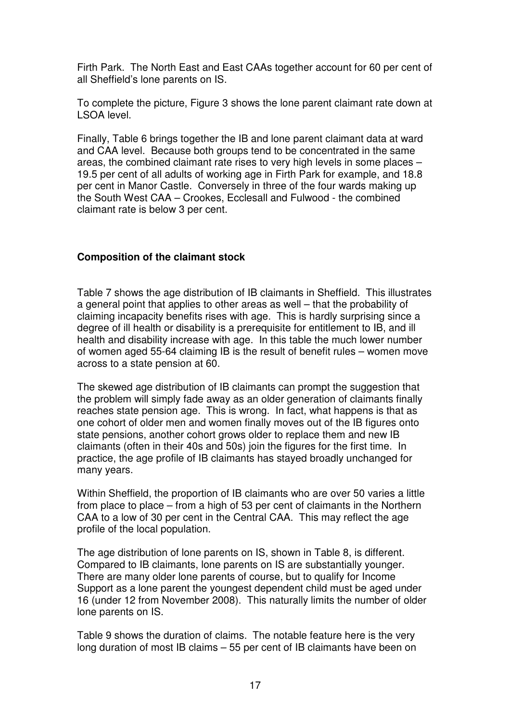Firth Park. The North East and East CAAs together account for 60 per cent of all Sheffield's lone parents on IS.

To complete the picture, Figure 3 shows the lone parent claimant rate down at LSOA level.

Finally, Table 6 brings together the IB and lone parent claimant data at ward and CAA level. Because both groups tend to be concentrated in the same areas, the combined claimant rate rises to very high levels in some places – 19.5 per cent of all adults of working age in Firth Park for example, and 18.8 per cent in Manor Castle. Conversely in three of the four wards making up the South West CAA – Crookes, Ecclesall and Fulwood - the combined claimant rate is below 3 per cent.

#### **Composition of the claimant stock**

Table 7 shows the age distribution of IB claimants in Sheffield. This illustrates a general point that applies to other areas as well – that the probability of claiming incapacity benefits rises with age. This is hardly surprising since a degree of ill health or disability is a prerequisite for entitlement to IB, and ill health and disability increase with age. In this table the much lower number of women aged 55-64 claiming IB is the result of benefit rules – women move across to a state pension at 60.

The skewed age distribution of IB claimants can prompt the suggestion that the problem will simply fade away as an older generation of claimants finally reaches state pension age. This is wrong. In fact, what happens is that as one cohort of older men and women finally moves out of the IB figures onto state pensions, another cohort grows older to replace them and new IB claimants (often in their 40s and 50s) join the figures for the first time. In practice, the age profile of IB claimants has stayed broadly unchanged for many years.

Within Sheffield, the proportion of IB claimants who are over 50 varies a little from place to place – from a high of 53 per cent of claimants in the Northern CAA to a low of 30 per cent in the Central CAA. This may reflect the age profile of the local population.

The age distribution of lone parents on IS, shown in Table 8, is different. Compared to IB claimants, lone parents on IS are substantially younger. There are many older lone parents of course, but to qualify for Income Support as a lone parent the youngest dependent child must be aged under 16 (under 12 from November 2008). This naturally limits the number of older lone parents on IS.

Table 9 shows the duration of claims. The notable feature here is the very long duration of most IB claims – 55 per cent of IB claimants have been on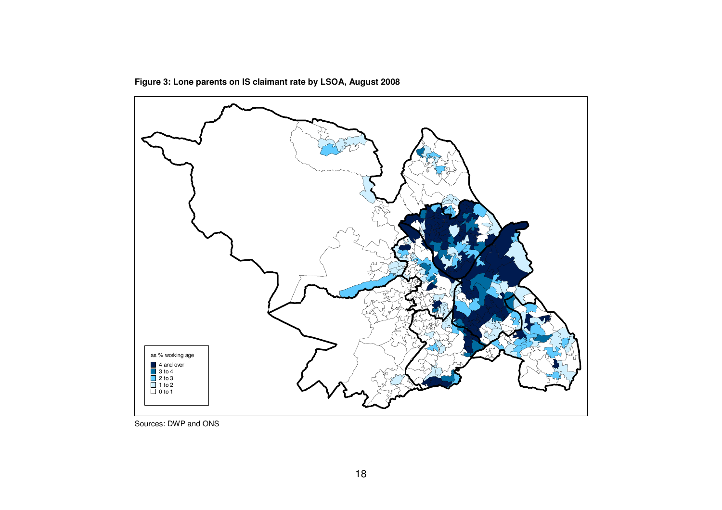

**Figure 3: Lone parents on IS claimant rate by LSOA, August 2008** 

Sources: DWP and ONS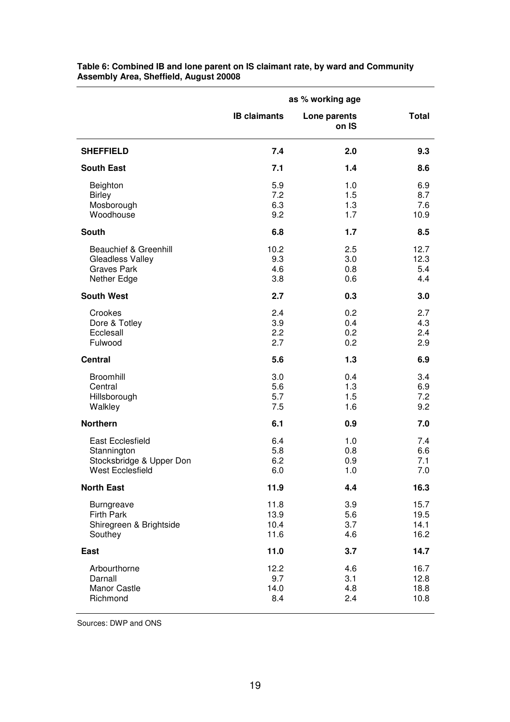|                                                                                           | as % working age             |                          |                              |
|-------------------------------------------------------------------------------------------|------------------------------|--------------------------|------------------------------|
|                                                                                           | <b>IB claimants</b>          | Lone parents<br>on IS    | <b>Total</b>                 |
| <b>SHEFFIELD</b>                                                                          | 7.4                          | 2.0                      | 9.3                          |
| <b>South East</b>                                                                         | 7.1                          | 1.4                      | 8.6                          |
| Beighton<br><b>Birley</b><br>Mosborough<br>Woodhouse                                      | 5.9<br>7.2<br>6.3<br>9.2     | 1.0<br>1.5<br>1.3<br>1.7 | 6.9<br>8.7<br>7.6<br>10.9    |
| South                                                                                     | 6.8                          | 1.7                      | 8.5                          |
| <b>Beauchief &amp; Greenhill</b><br>Gleadless Valley<br><b>Graves Park</b><br>Nether Edge | 10.2<br>9.3<br>4.6<br>3.8    | 2.5<br>3.0<br>0.8<br>0.6 | 12.7<br>12.3<br>5.4<br>4.4   |
| <b>South West</b>                                                                         | 2.7                          | 0.3                      | 3.0                          |
| Crookes<br>Dore & Totley<br>Ecclesall<br>Fulwood                                          | 2.4<br>3.9<br>2.2<br>2.7     | 0.2<br>0.4<br>0.2<br>0.2 | 2.7<br>4.3<br>2.4<br>2.9     |
| <b>Central</b>                                                                            | 5.6                          | 1.3                      | 6.9                          |
| Broomhill<br>Central<br>Hillsborough<br>Walkley                                           | 3.0<br>5.6<br>5.7<br>7.5     | 0.4<br>1.3<br>1.5<br>1.6 | 3.4<br>6.9<br>7.2<br>9.2     |
| <b>Northern</b>                                                                           | 6.1                          | 0.9                      | 7.0                          |
| East Ecclesfield<br>Stannington<br>Stocksbridge & Upper Don<br><b>West Ecclesfield</b>    | 6.4<br>5.8<br>6.2<br>6.0     | 1.0<br>0.8<br>0.9<br>1.0 | 7.4<br>6.6<br>7.1<br>7.0     |
| <b>North East</b>                                                                         | 11.9                         | 4.4                      | 16.3                         |
| <b>Burngreave</b><br><b>Firth Park</b><br>Shiregreen & Brightside<br>Southey              | 11.8<br>13.9<br>10.4<br>11.6 | 3.9<br>5.6<br>3.7<br>4.6 | 15.7<br>19.5<br>14.1<br>16.2 |
| East                                                                                      | 11.0                         | 3.7                      | 14.7                         |
| Arbourthorne<br>Darnall<br>Manor Castle<br>Richmond                                       | 12.2<br>9.7<br>14.0<br>8.4   | 4.6<br>3.1<br>4.8<br>2.4 | 16.7<br>12.8<br>18.8<br>10.8 |

**Table 6: Combined IB and lone parent on IS claimant rate, by ward and Community Assembly Area, Sheffield, August 20008**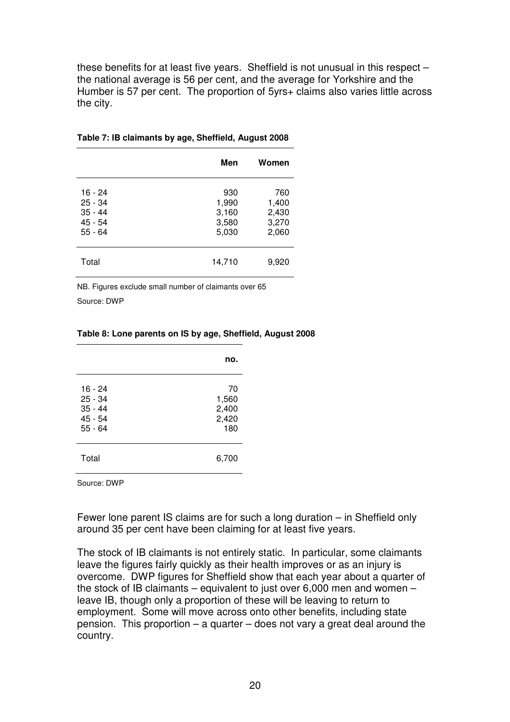these benefits for at least five years. Sheffield is not unusual in this respect – the national average is 56 per cent, and the average for Yorkshire and the Humber is 57 per cent. The proportion of 5yrs+ claims also varies little across the city.

|                                                             | Men                                     | Women                                   |
|-------------------------------------------------------------|-----------------------------------------|-----------------------------------------|
| 16 - 24<br>$25 - 34$<br>$35 - 44$<br>$45 - 54$<br>$55 - 64$ | 930<br>1,990<br>3,160<br>3,580<br>5,030 | 760<br>1,400<br>2,430<br>3,270<br>2,060 |
| Total                                                       | 14,710                                  | 9,920                                   |

#### **Table 7: IB claimants by age, Sheffield, August 2008**

NB. Figures exclude small number of claimants over 65 Source: DWP

|                                                           | no.                                  |
|-----------------------------------------------------------|--------------------------------------|
| 16 - 24<br>$25 - 34$<br>$35 - 44$<br>45 - 54<br>$55 - 64$ | 70<br>1,560<br>2,400<br>2,420<br>180 |
| Total                                                     | 6,700                                |

#### **Table 8: Lone parents on IS by age, Sheffield, August 2008**

Source: DWP

Fewer lone parent IS claims are for such a long duration – in Sheffield only around 35 per cent have been claiming for at least five years.

The stock of IB claimants is not entirely static. In particular, some claimants leave the figures fairly quickly as their health improves or as an injury is overcome. DWP figures for Sheffield show that each year about a quarter of the stock of IB claimants – equivalent to just over 6,000 men and women – leave IB, though only a proportion of these will be leaving to return to employment. Some will move across onto other benefits, including state pension. This proportion – a quarter – does not vary a great deal around the country.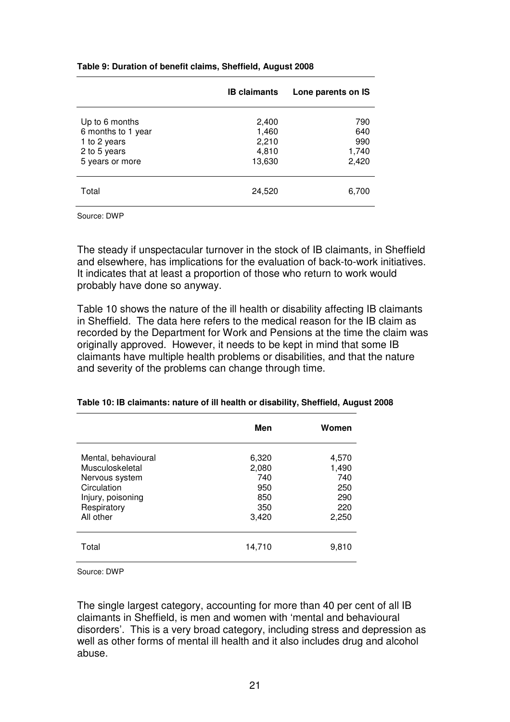|                                                                                         | <b>IB claimants</b>                        | Lone parents on IS                  |
|-----------------------------------------------------------------------------------------|--------------------------------------------|-------------------------------------|
| Up to 6 months<br>6 months to 1 year<br>1 to 2 years<br>2 to 5 years<br>5 years or more | 2,400<br>1,460<br>2,210<br>4,810<br>13,630 | 790<br>640<br>990<br>1,740<br>2,420 |
| Total                                                                                   | 24,520                                     | 6,700                               |

**Table 9: Duration of benefit claims, Sheffield, August 2008** 

Source: DWP

The steady if unspectacular turnover in the stock of IB claimants, in Sheffield and elsewhere, has implications for the evaluation of back-to-work initiatives. It indicates that at least a proportion of those who return to work would probably have done so anyway.

Table 10 shows the nature of the ill health or disability affecting IB claimants in Sheffield. The data here refers to the medical reason for the IB claim as recorded by the Department for Work and Pensions at the time the claim was originally approved. However, it needs to be kept in mind that some IB claimants have multiple health problems or disabilities, and that the nature and severity of the problems can change through time.

|                                                                                                                          | Men                                                 | Women                                               |
|--------------------------------------------------------------------------------------------------------------------------|-----------------------------------------------------|-----------------------------------------------------|
| Mental, behavioural<br>Musculoskeletal<br>Nervous system<br>Circulation<br>Injury, poisoning<br>Respiratory<br>All other | 6,320<br>2,080<br>740<br>950<br>850<br>350<br>3,420 | 4,570<br>1,490<br>740<br>250<br>290<br>220<br>2,250 |
| Total                                                                                                                    | 14,710                                              | 9,810                                               |

#### **Table 10: IB claimants: nature of ill health or disability, Sheffield, August 2008**

Source: DWP

The single largest category, accounting for more than 40 per cent of all IB claimants in Sheffield, is men and women with 'mental and behavioural disorders'. This is a very broad category, including stress and depression as well as other forms of mental ill health and it also includes drug and alcohol abuse.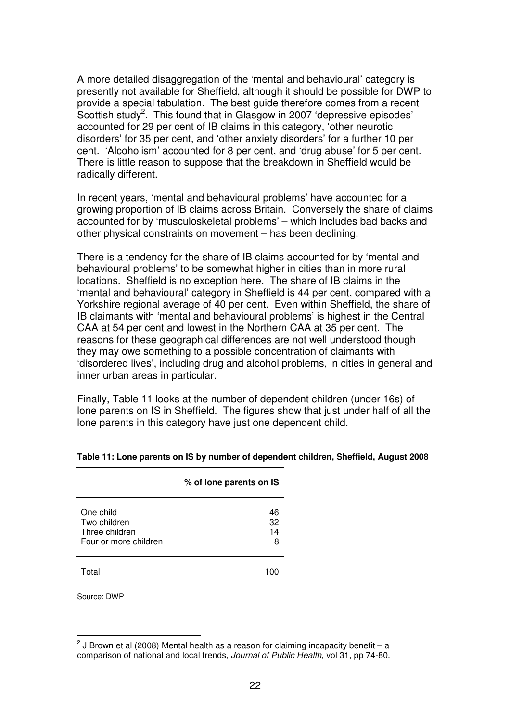A more detailed disaggregation of the 'mental and behavioural' category is presently not available for Sheffield, although it should be possible for DWP to provide a special tabulation. The best guide therefore comes from a recent Scottish study<sup>2</sup>. This found that in Glasgow in 2007 'depressive episodes' accounted for 29 per cent of IB claims in this category, 'other neurotic disorders' for 35 per cent, and 'other anxiety disorders' for a further 10 per cent. 'Alcoholism' accounted for 8 per cent, and 'drug abuse' for 5 per cent. There is little reason to suppose that the breakdown in Sheffield would be radically different.

In recent years, 'mental and behavioural problems' have accounted for a growing proportion of IB claims across Britain. Conversely the share of claims accounted for by 'musculoskeletal problems' – which includes bad backs and other physical constraints on movement – has been declining.

There is a tendency for the share of IB claims accounted for by 'mental and behavioural problems' to be somewhat higher in cities than in more rural locations. Sheffield is no exception here. The share of IB claims in the 'mental and behavioural' category in Sheffield is 44 per cent, compared with a Yorkshire regional average of 40 per cent. Even within Sheffield, the share of IB claimants with 'mental and behavioural problems' is highest in the Central CAA at 54 per cent and lowest in the Northern CAA at 35 per cent. The reasons for these geographical differences are not well understood though they may owe something to a possible concentration of claimants with 'disordered lives', including drug and alcohol problems, in cities in general and inner urban areas in particular.

Finally, Table 11 looks at the number of dependent children (under 16s) of lone parents on IS in Sheffield. The figures show that just under half of all the lone parents in this category have just one dependent child.

|                                                                      | % of lone parents on IS |
|----------------------------------------------------------------------|-------------------------|
| One child<br>Two children<br>Three children<br>Four or more children | 46<br>32<br>14<br>8     |
| ⊺otal                                                                |                         |

#### **Table 11: Lone parents on IS by number of dependent children, Sheffield, August 2008**

Source: DWP

 $\overline{\phantom{a}}$ 

 $^{2}$  J Brown et al (2008) Mental health as a reason for claiming incapacity benefit – a comparison of national and local trends, Journal of Public Health, vol 31, pp 74-80.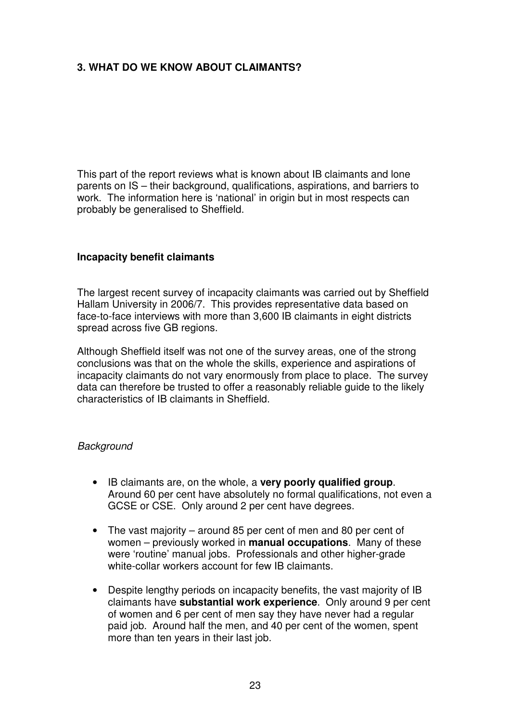## **3. WHAT DO WE KNOW ABOUT CLAIMANTS?**

This part of the report reviews what is known about IB claimants and lone parents on IS – their background, qualifications, aspirations, and barriers to work. The information here is 'national' in origin but in most respects can probably be generalised to Sheffield.

#### **Incapacity benefit claimants**

The largest recent survey of incapacity claimants was carried out by Sheffield Hallam University in 2006/7. This provides representative data based on face-to-face interviews with more than 3,600 IB claimants in eight districts spread across five GB regions.

Although Sheffield itself was not one of the survey areas, one of the strong conclusions was that on the whole the skills, experience and aspirations of incapacity claimants do not vary enormously from place to place. The survey data can therefore be trusted to offer a reasonably reliable guide to the likely characteristics of IB claimants in Sheffield.

#### **Background**

- IB claimants are, on the whole, a **very poorly qualified group**. Around 60 per cent have absolutely no formal qualifications, not even a GCSE or CSE. Only around 2 per cent have degrees.
- The vast majority around 85 per cent of men and 80 per cent of women – previously worked in **manual occupations**. Many of these were 'routine' manual jobs. Professionals and other higher-grade white-collar workers account for few IB claimants.
- Despite lengthy periods on incapacity benefits, the vast majority of IB claimants have **substantial work experience**. Only around 9 per cent of women and 6 per cent of men say they have never had a regular paid job. Around half the men, and 40 per cent of the women, spent more than ten years in their last job.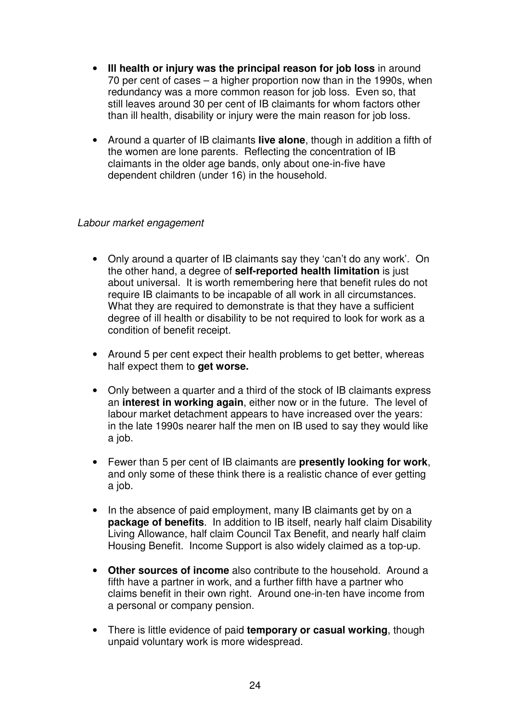- **Ill health or injury was the principal reason for job loss** in around 70 per cent of cases – a higher proportion now than in the 1990s, when redundancy was a more common reason for job loss. Even so, that still leaves around 30 per cent of IB claimants for whom factors other than ill health, disability or injury were the main reason for job loss.
- Around a quarter of IB claimants **live alone**, though in addition a fifth of the women are lone parents. Reflecting the concentration of IB claimants in the older age bands, only about one-in-five have dependent children (under 16) in the household.

## Labour market engagement

- Only around a quarter of IB claimants say they 'can't do any work'. On the other hand, a degree of **self-reported health limitation** is just about universal. It is worth remembering here that benefit rules do not require IB claimants to be incapable of all work in all circumstances. What they are required to demonstrate is that they have a sufficient degree of ill health or disability to be not required to look for work as a condition of benefit receipt.
- Around 5 per cent expect their health problems to get better, whereas half expect them to **get worse.**
- Only between a quarter and a third of the stock of IB claimants express an **interest in working again**, either now or in the future. The level of labour market detachment appears to have increased over the years: in the late 1990s nearer half the men on IB used to say they would like a job.
- Fewer than 5 per cent of IB claimants are **presently looking for work**, and only some of these think there is a realistic chance of ever getting a job.
- In the absence of paid employment, many IB claimants get by on a **package of benefits**. In addition to IB itself, nearly half claim Disability Living Allowance, half claim Council Tax Benefit, and nearly half claim Housing Benefit. Income Support is also widely claimed as a top-up.
- **Other sources of income** also contribute to the household. Around a fifth have a partner in work, and a further fifth have a partner who claims benefit in their own right. Around one-in-ten have income from a personal or company pension.
- There is little evidence of paid **temporary or casual working**, though unpaid voluntary work is more widespread.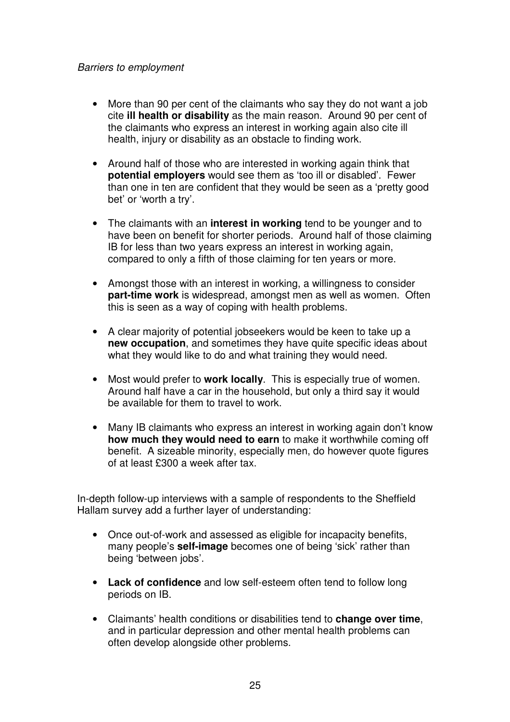#### Barriers to employment

- More than 90 per cent of the claimants who say they do not want a job cite **ill health or disability** as the main reason. Around 90 per cent of the claimants who express an interest in working again also cite ill health, injury or disability as an obstacle to finding work.
- Around half of those who are interested in working again think that **potential employers** would see them as 'too ill or disabled'. Fewer than one in ten are confident that they would be seen as a 'pretty good bet' or 'worth a try'.
- The claimants with an **interest in working** tend to be younger and to have been on benefit for shorter periods. Around half of those claiming IB for less than two years express an interest in working again, compared to only a fifth of those claiming for ten years or more.
- Amongst those with an interest in working, a willingness to consider **part-time work** is widespread, amongst men as well as women. Often this is seen as a way of coping with health problems.
- A clear majority of potential jobseekers would be keen to take up a **new occupation**, and sometimes they have quite specific ideas about what they would like to do and what training they would need.
- Most would prefer to **work locally**. This is especially true of women. Around half have a car in the household, but only a third say it would be available for them to travel to work.
- Many IB claimants who express an interest in working again don't know **how much they would need to earn** to make it worthwhile coming off benefit. A sizeable minority, especially men, do however quote figures of at least £300 a week after tax.

In-depth follow-up interviews with a sample of respondents to the Sheffield Hallam survey add a further layer of understanding:

- Once out-of-work and assessed as eligible for incapacity benefits, many people's **self-image** becomes one of being 'sick' rather than being 'between jobs'.
- **Lack of confidence** and low self-esteem often tend to follow long periods on IB.
- Claimants' health conditions or disabilities tend to **change over time**, and in particular depression and other mental health problems can often develop alongside other problems.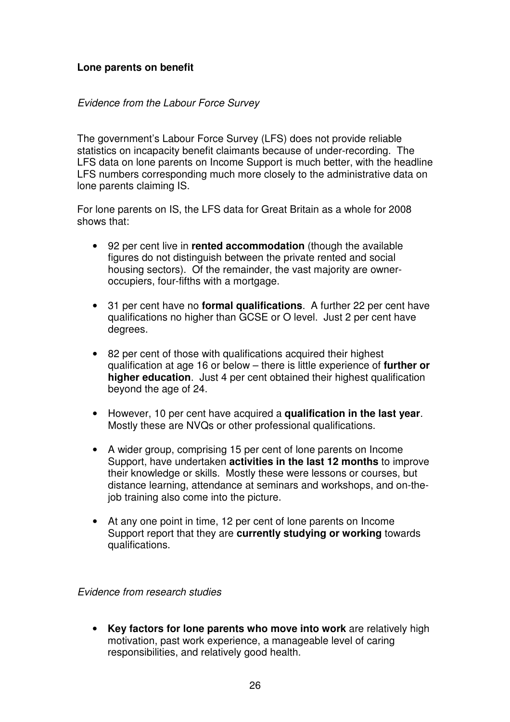## **Lone parents on benefit**

#### Evidence from the Labour Force Survey

The government's Labour Force Survey (LFS) does not provide reliable statistics on incapacity benefit claimants because of under-recording. The LFS data on lone parents on Income Support is much better, with the headline LFS numbers corresponding much more closely to the administrative data on lone parents claiming IS.

For lone parents on IS, the LFS data for Great Britain as a whole for 2008 shows that:

- 92 per cent live in **rented accommodation** (though the available figures do not distinguish between the private rented and social housing sectors). Of the remainder, the vast majority are owneroccupiers, four-fifths with a mortgage.
- 31 per cent have no **formal qualifications**. A further 22 per cent have qualifications no higher than GCSE or O level. Just 2 per cent have degrees.
- 82 per cent of those with qualifications acquired their highest qualification at age 16 or below – there is little experience of **further or higher education**. Just 4 per cent obtained their highest qualification beyond the age of 24.
- However, 10 per cent have acquired a **qualification in the last year**. Mostly these are NVQs or other professional qualifications.
- A wider group, comprising 15 per cent of lone parents on Income Support, have undertaken **activities in the last 12 months** to improve their knowledge or skills. Mostly these were lessons or courses, but distance learning, attendance at seminars and workshops, and on-thejob training also come into the picture.
- At any one point in time, 12 per cent of lone parents on Income Support report that they are **currently studying or working** towards qualifications.

Evidence from research studies

• **Key factors for lone parents who move into work** are relatively high motivation, past work experience, a manageable level of caring responsibilities, and relatively good health.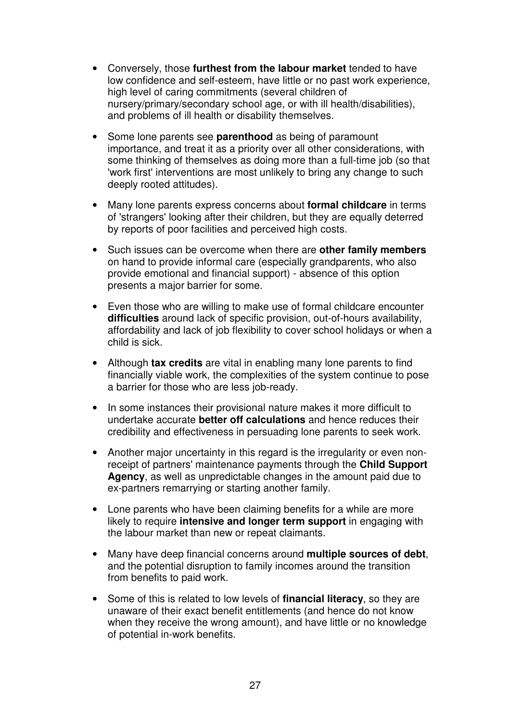- Conversely, those **furthest from the labour market** tended to have low confidence and self-esteem, have little or no past work experience, high level of caring commitments (several children of nursery/primary/secondary school age, or with ill health/disabilities), and problems of ill health or disability themselves.
- Some lone parents see **parenthood** as being of paramount importance, and treat it as a priority over all other considerations, with some thinking of themselves as doing more than a full-time job (so that 'work first' interventions are most unlikely to bring any change to such deeply rooted attitudes).
- Many lone parents express concerns about **formal childcare** in terms of 'strangers' looking after their children, but they are equally deterred by reports of poor facilities and perceived high costs.
- Such issues can be overcome when there are **other family members** on hand to provide informal care (especially grandparents, who also provide emotional and financial support) - absence of this option presents a major barrier for some.
- Even those who are willing to make use of formal childcare encounter **difficulties** around lack of specific provision, out-of-hours availability, affordability and lack of job flexibility to cover school holidays or when a child is sick.
- Although **tax credits** are vital in enabling many lone parents to find financially viable work, the complexities of the system continue to pose a barrier for those who are less job-ready.
- In some instances their provisional nature makes it more difficult to undertake accurate **better off calculations** and hence reduces their credibility and effectiveness in persuading lone parents to seek work.
- Another major uncertainty in this regard is the irregularity or even nonreceipt of partners' maintenance payments through the **Child Support Agency**, as well as unpredictable changes in the amount paid due to ex-partners remarrying or starting another family.
- Lone parents who have been claiming benefits for a while are more likely to require **intensive and longer term support** in engaging with the labour market than new or repeat claimants.
- Many have deep financial concerns around **multiple sources of debt**, and the potential disruption to family incomes around the transition from benefits to paid work.
- Some of this is related to low levels of **financial literacy**, so they are unaware of their exact benefit entitlements (and hence do not know when they receive the wrong amount), and have little or no knowledge of potential in-work benefits.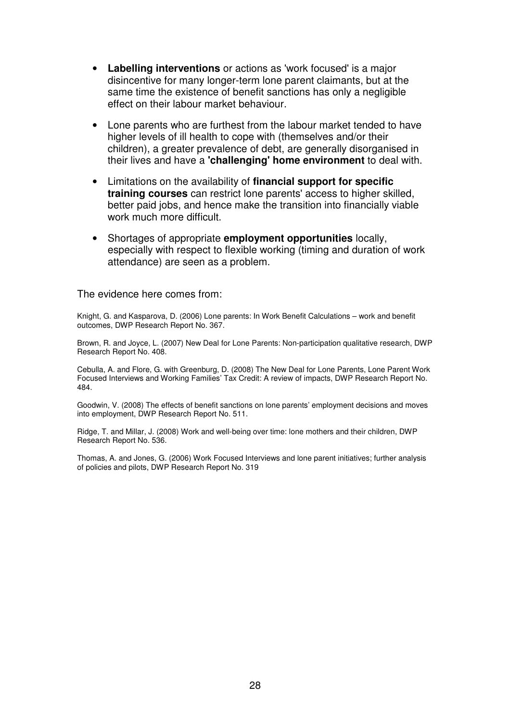- **Labelling interventions** or actions as 'work focused' is a major disincentive for many longer-term lone parent claimants, but at the same time the existence of benefit sanctions has only a negligible effect on their labour market behaviour.
- Lone parents who are furthest from the labour market tended to have higher levels of ill health to cope with (themselves and/or their children), a greater prevalence of debt, are generally disorganised in their lives and have a **'challenging' home environment** to deal with.
- Limitations on the availability of **financial support for specific training courses** can restrict lone parents' access to higher skilled, better paid jobs, and hence make the transition into financially viable work much more difficult.
- Shortages of appropriate **employment opportunities** locally, especially with respect to flexible working (timing and duration of work attendance) are seen as a problem.

#### The evidence here comes from:

Knight, G. and Kasparova, D. (2006) Lone parents: In Work Benefit Calculations – work and benefit outcomes, DWP Research Report No. 367.

Brown, R. and Joyce, L. (2007) New Deal for Lone Parents: Non-participation qualitative research, DWP Research Report No. 408.

Cebulla, A. and Flore, G. with Greenburg, D. (2008) The New Deal for Lone Parents, Lone Parent Work Focused Interviews and Working Families' Tax Credit: A review of impacts, DWP Research Report No. 484.

Goodwin, V. (2008) The effects of benefit sanctions on lone parents' employment decisions and moves into employment, DWP Research Report No. 511.

Ridge, T. and Millar, J. (2008) Work and well-being over time: lone mothers and their children, DWP Research Report No. 536.

Thomas, A. and Jones, G. (2006) Work Focused Interviews and lone parent initiatives; further analysis of policies and pilots, DWP Research Report No. 319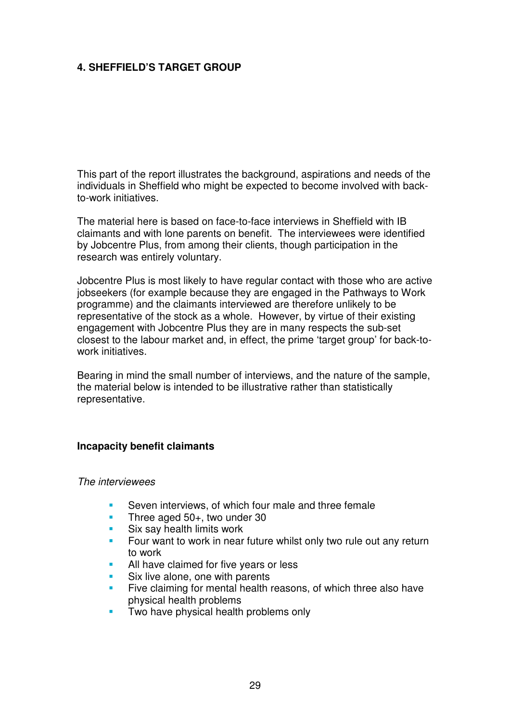## **4. SHEFFIELD'S TARGET GROUP**

This part of the report illustrates the background, aspirations and needs of the individuals in Sheffield who might be expected to become involved with backto-work initiatives.

The material here is based on face-to-face interviews in Sheffield with IB claimants and with lone parents on benefit. The interviewees were identified by Jobcentre Plus, from among their clients, though participation in the research was entirely voluntary.

Jobcentre Plus is most likely to have regular contact with those who are active jobseekers (for example because they are engaged in the Pathways to Work programme) and the claimants interviewed are therefore unlikely to be representative of the stock as a whole. However, by virtue of their existing engagement with Jobcentre Plus they are in many respects the sub-set closest to the labour market and, in effect, the prime 'target group' for back-towork initiatives.

Bearing in mind the small number of interviews, and the nature of the sample, the material below is intended to be illustrative rather than statistically representative.

#### **Incapacity benefit claimants**

#### The interviewees

- Seven interviews, of which four male and three female
- Three aged 50+, two under 30
- **Six say health limits work**
- Four want to work in near future whilst only two rule out any return to work
- All have claimed for five years or less
- Six live alone, one with parents
- Five claiming for mental health reasons, of which three also have physical health problems
- Two have physical health problems only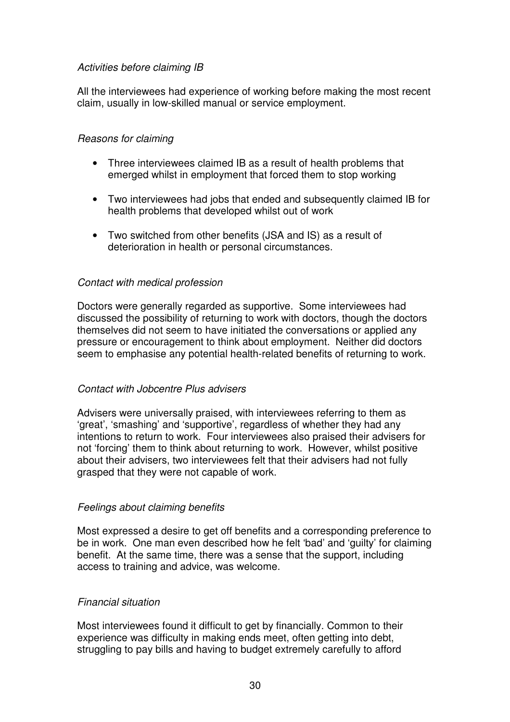## Activities before claiming IB

All the interviewees had experience of working before making the most recent claim, usually in low-skilled manual or service employment.

## Reasons for claiming

- Three interviewees claimed IB as a result of health problems that emerged whilst in employment that forced them to stop working
- Two interviewees had jobs that ended and subsequently claimed IB for health problems that developed whilst out of work
- Two switched from other benefits (JSA and IS) as a result of deterioration in health or personal circumstances.

## Contact with medical profession

Doctors were generally regarded as supportive. Some interviewees had discussed the possibility of returning to work with doctors, though the doctors themselves did not seem to have initiated the conversations or applied any pressure or encouragement to think about employment. Neither did doctors seem to emphasise any potential health-related benefits of returning to work.

## Contact with Jobcentre Plus advisers

Advisers were universally praised, with interviewees referring to them as 'great', 'smashing' and 'supportive', regardless of whether they had any intentions to return to work. Four interviewees also praised their advisers for not 'forcing' them to think about returning to work. However, whilst positive about their advisers, two interviewees felt that their advisers had not fully grasped that they were not capable of work.

## Feelings about claiming benefits

Most expressed a desire to get off benefits and a corresponding preference to be in work. One man even described how he felt 'bad' and 'guilty' for claiming benefit. At the same time, there was a sense that the support, including access to training and advice, was welcome.

## Financial situation

Most interviewees found it difficult to get by financially. Common to their experience was difficulty in making ends meet, often getting into debt, struggling to pay bills and having to budget extremely carefully to afford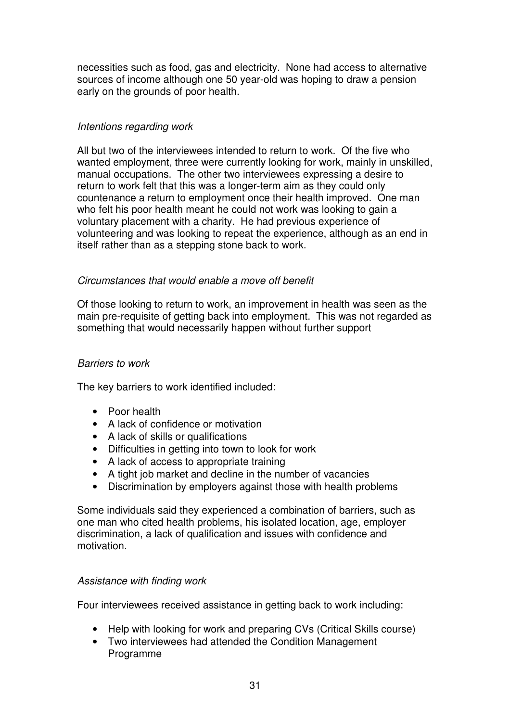necessities such as food, gas and electricity. None had access to alternative sources of income although one 50 year-old was hoping to draw a pension early on the grounds of poor health.

## Intentions regarding work

All but two of the interviewees intended to return to work. Of the five who wanted employment, three were currently looking for work, mainly in unskilled, manual occupations. The other two interviewees expressing a desire to return to work felt that this was a longer-term aim as they could only countenance a return to employment once their health improved. One man who felt his poor health meant he could not work was looking to gain a voluntary placement with a charity. He had previous experience of volunteering and was looking to repeat the experience, although as an end in itself rather than as a stepping stone back to work.

## Circumstances that would enable a move off benefit

Of those looking to return to work, an improvement in health was seen as the main pre-requisite of getting back into employment. This was not regarded as something that would necessarily happen without further support

#### Barriers to work

The key barriers to work identified included:

- Poor health
- A lack of confidence or motivation
- A lack of skills or qualifications
- Difficulties in getting into town to look for work
- A lack of access to appropriate training
- A tight job market and decline in the number of vacancies
- Discrimination by employers against those with health problems

Some individuals said they experienced a combination of barriers, such as one man who cited health problems, his isolated location, age, employer discrimination, a lack of qualification and issues with confidence and motivation.

#### Assistance with finding work

Four interviewees received assistance in getting back to work including:

- Help with looking for work and preparing CVs (Critical Skills course)
- Two interviewees had attended the Condition Management Programme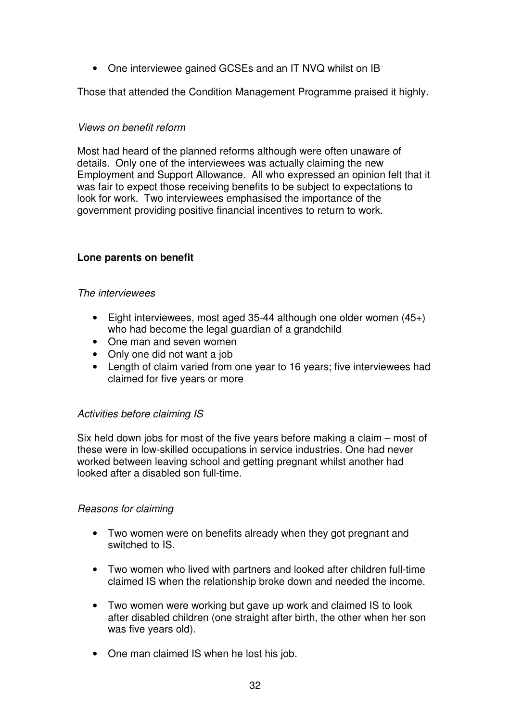• One interviewee gained GCSEs and an IT NVQ whilst on IB

Those that attended the Condition Management Programme praised it highly.

#### Views on benefit reform

Most had heard of the planned reforms although were often unaware of details. Only one of the interviewees was actually claiming the new Employment and Support Allowance. All who expressed an opinion felt that it was fair to expect those receiving benefits to be subject to expectations to look for work. Two interviewees emphasised the importance of the government providing positive financial incentives to return to work.

## **Lone parents on benefit**

#### The interviewees

- Eight interviewees, most aged 35-44 although one older women (45+) who had become the legal guardian of a grandchild
- One man and seven women
- Only one did not want a job
- Length of claim varied from one year to 16 years; five interviewees had claimed for five years or more

## Activities before claiming IS

Six held down jobs for most of the five years before making a claim – most of these were in low-skilled occupations in service industries. One had never worked between leaving school and getting pregnant whilst another had looked after a disabled son full-time.

#### Reasons for claiming

- Two women were on benefits already when they got pregnant and switched to IS.
- Two women who lived with partners and looked after children full-time claimed IS when the relationship broke down and needed the income.
- Two women were working but gave up work and claimed IS to look after disabled children (one straight after birth, the other when her son was five years old).
- One man claimed IS when he lost his job.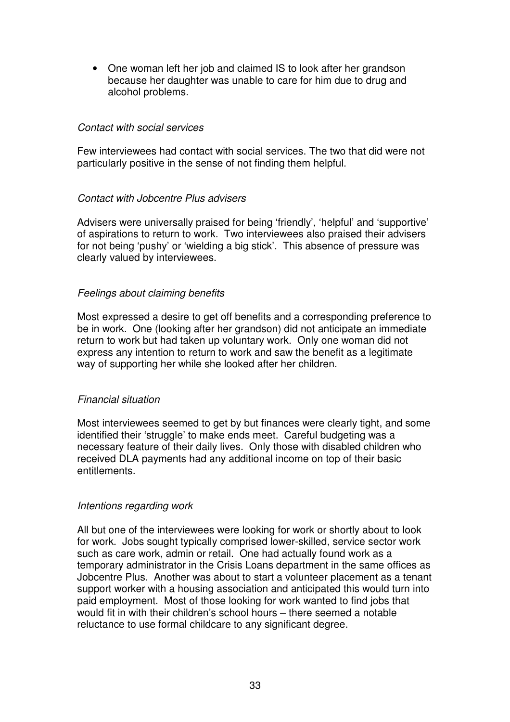• One woman left her job and claimed IS to look after her grandson because her daughter was unable to care for him due to drug and alcohol problems.

#### Contact with social services

Few interviewees had contact with social services. The two that did were not particularly positive in the sense of not finding them helpful.

#### Contact with Jobcentre Plus advisers

Advisers were universally praised for being 'friendly', 'helpful' and 'supportive' of aspirations to return to work. Two interviewees also praised their advisers for not being 'pushy' or 'wielding a big stick'. This absence of pressure was clearly valued by interviewees.

#### Feelings about claiming benefits

Most expressed a desire to get off benefits and a corresponding preference to be in work. One (looking after her grandson) did not anticipate an immediate return to work but had taken up voluntary work. Only one woman did not express any intention to return to work and saw the benefit as a legitimate way of supporting her while she looked after her children.

#### Financial situation

Most interviewees seemed to get by but finances were clearly tight, and some identified their 'struggle' to make ends meet. Careful budgeting was a necessary feature of their daily lives. Only those with disabled children who received DLA payments had any additional income on top of their basic entitlements.

#### Intentions regarding work

All but one of the interviewees were looking for work or shortly about to look for work. Jobs sought typically comprised lower-skilled, service sector work such as care work, admin or retail. One had actually found work as a temporary administrator in the Crisis Loans department in the same offices as Jobcentre Plus. Another was about to start a volunteer placement as a tenant support worker with a housing association and anticipated this would turn into paid employment. Most of those looking for work wanted to find jobs that would fit in with their children's school hours – there seemed a notable reluctance to use formal childcare to any significant degree.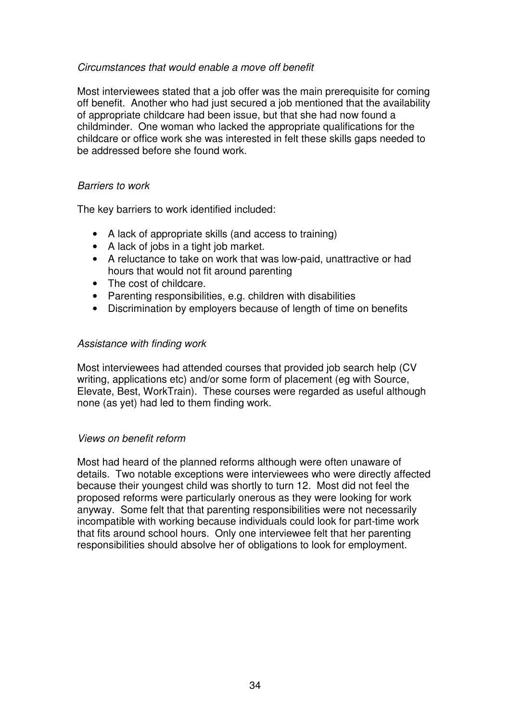#### Circumstances that would enable a move off benefit

Most interviewees stated that a job offer was the main prerequisite for coming off benefit. Another who had just secured a job mentioned that the availability of appropriate childcare had been issue, but that she had now found a childminder. One woman who lacked the appropriate qualifications for the childcare or office work she was interested in felt these skills gaps needed to be addressed before she found work.

#### Barriers to work

The key barriers to work identified included:

- A lack of appropriate skills (and access to training)
- A lack of jobs in a tight job market.
- A reluctance to take on work that was low-paid, unattractive or had hours that would not fit around parenting
- The cost of childcare.
- Parenting responsibilities, e.g. children with disabilities
- Discrimination by employers because of length of time on benefits

#### Assistance with finding work

Most interviewees had attended courses that provided job search help (CV writing, applications etc) and/or some form of placement (eg with Source, Elevate, Best, WorkTrain). These courses were regarded as useful although none (as yet) had led to them finding work.

#### Views on benefit reform

Most had heard of the planned reforms although were often unaware of details. Two notable exceptions were interviewees who were directly affected because their youngest child was shortly to turn 12. Most did not feel the proposed reforms were particularly onerous as they were looking for work anyway. Some felt that that parenting responsibilities were not necessarily incompatible with working because individuals could look for part-time work that fits around school hours. Only one interviewee felt that her parenting responsibilities should absolve her of obligations to look for employment.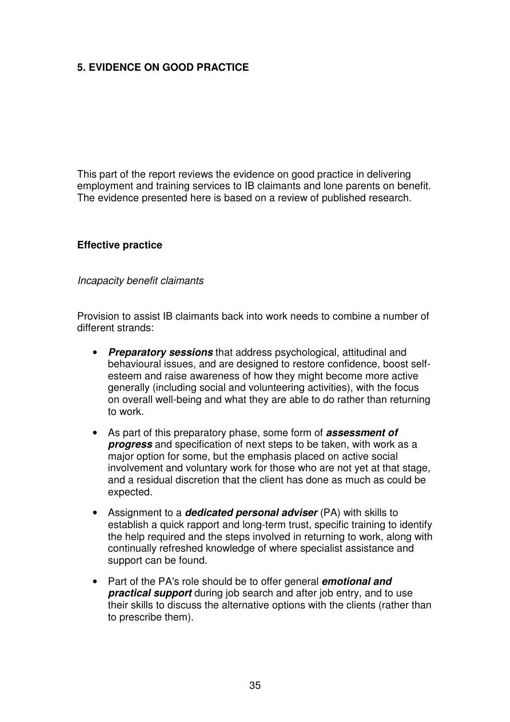## **5. EVIDENCE ON GOOD PRACTICE**

This part of the report reviews the evidence on good practice in delivering employment and training services to IB claimants and lone parents on benefit. The evidence presented here is based on a review of published research.

#### **Effective practice**

#### Incapacity benefit claimants

Provision to assist IB claimants back into work needs to combine a number of different strands:

- **Preparatory sessions** that address psychological, attitudinal and behavioural issues, and are designed to restore confidence, boost selfesteem and raise awareness of how they might become more active generally (including social and volunteering activities), with the focus on overall well-being and what they are able to do rather than returning to work.
- As part of this preparatory phase, some form of **assessment of progress** and specification of next steps to be taken, with work as a major option for some, but the emphasis placed on active social involvement and voluntary work for those who are not yet at that stage, and a residual discretion that the client has done as much as could be expected.
- Assignment to a **dedicated personal adviser** (PA) with skills to establish a quick rapport and long-term trust, specific training to identify the help required and the steps involved in returning to work, along with continually refreshed knowledge of where specialist assistance and support can be found.
- Part of the PA's role should be to offer general **emotional and practical support** during job search and after job entry, and to use their skills to discuss the alternative options with the clients (rather than to prescribe them).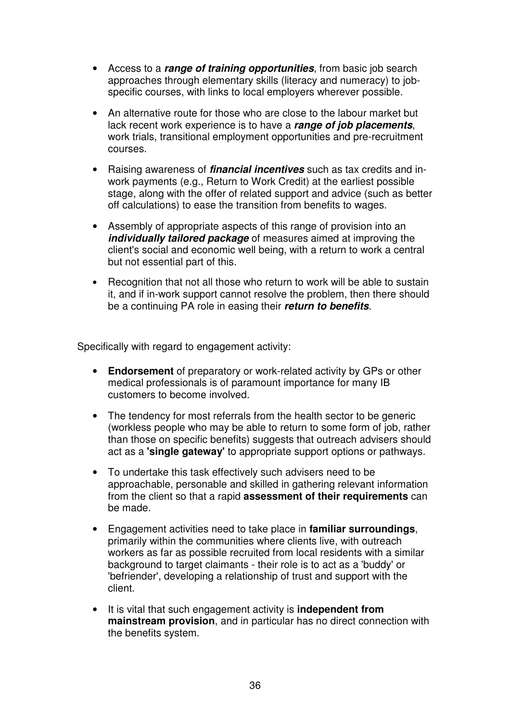- Access to a **range of training opportunities**, from basic job search approaches through elementary skills (literacy and numeracy) to jobspecific courses, with links to local employers wherever possible.
- An alternative route for those who are close to the labour market but lack recent work experience is to have a **range of job placements**, work trials, transitional employment opportunities and pre-recruitment courses.
- Raising awareness of **financial incentives** such as tax credits and inwork payments (e.g., Return to Work Credit) at the earliest possible stage, along with the offer of related support and advice (such as better off calculations) to ease the transition from benefits to wages.
- Assembly of appropriate aspects of this range of provision into an *individually tailored package* of measures aimed at improving the client's social and economic well being, with a return to work a central but not essential part of this.
- Recognition that not all those who return to work will be able to sustain it, and if in-work support cannot resolve the problem, then there should be a continuing PA role in easing their **return to benefits**.

Specifically with regard to engagement activity:

- **Endorsement** of preparatory or work-related activity by GPs or other medical professionals is of paramount importance for many IB customers to become involved.
- The tendency for most referrals from the health sector to be generic (workless people who may be able to return to some form of job, rather than those on specific benefits) suggests that outreach advisers should act as a **'single gateway'** to appropriate support options or pathways.
- To undertake this task effectively such advisers need to be approachable, personable and skilled in gathering relevant information from the client so that a rapid **assessment of their requirements** can be made.
- Engagement activities need to take place in **familiar surroundings**, primarily within the communities where clients live, with outreach workers as far as possible recruited from local residents with a similar background to target claimants - their role is to act as a 'buddy' or 'befriender', developing a relationship of trust and support with the client.
- It is vital that such engagement activity is **independent from mainstream provision**, and in particular has no direct connection with the benefits system.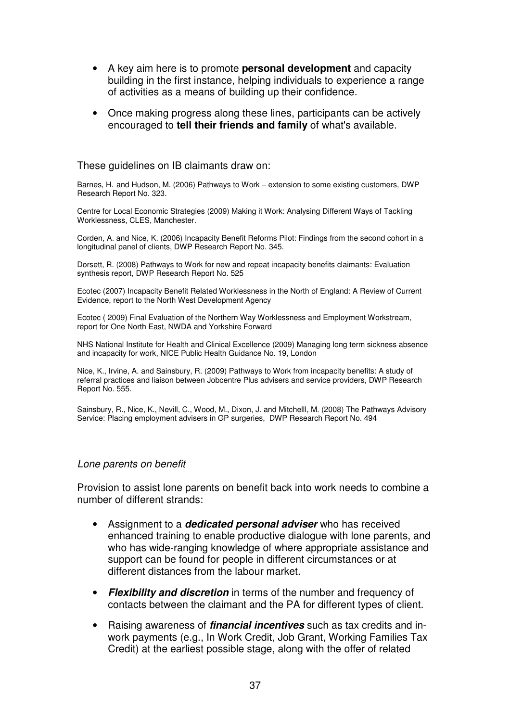- A key aim here is to promote **personal development** and capacity building in the first instance, helping individuals to experience a range of activities as a means of building up their confidence.
- Once making progress along these lines, participants can be actively encouraged to **tell their friends and family** of what's available.

These guidelines on IB claimants draw on:

Barnes, H. and Hudson, M. (2006) Pathways to Work – extension to some existing customers, DWP Research Report No. 323.

Centre for Local Economic Strategies (2009) Making it Work: Analysing Different Ways of Tackling Worklessness, CLES, Manchester.

Corden, A. and Nice, K. (2006) Incapacity Benefit Reforms Pilot: Findings from the second cohort in a longitudinal panel of clients, DWP Research Report No. 345.

Dorsett, R. (2008) Pathways to Work for new and repeat incapacity benefits claimants: Evaluation synthesis report, DWP Research Report No. 525

Ecotec (2007) Incapacity Benefit Related Worklessness in the North of England: A Review of Current Evidence, report to the North West Development Agency

Ecotec ( 2009) Final Evaluation of the Northern Way Worklessness and Employment Workstream, report for One North East, NWDA and Yorkshire Forward

NHS National Institute for Health and Clinical Excellence (2009) Managing long term sickness absence and incapacity for work, NICE Public Health Guidance No. 19, London

Nice, K., Irvine, A. and Sainsbury, R. (2009) Pathways to Work from incapacity benefits: A study of referral practices and liaison between Jobcentre Plus advisers and service providers, DWP Research Report No. 555.

Sainsbury, R., Nice, K., Nevill, C., Wood, M., Dixon, J. and Mitchelll, M. (2008) The Pathways Advisory Service: Placing employment advisers in GP surgeries, DWP Research Report No. 494

#### Lone parents on benefit

Provision to assist lone parents on benefit back into work needs to combine a number of different strands:

- Assignment to a **dedicated personal adviser** who has received enhanced training to enable productive dialogue with lone parents, and who has wide-ranging knowledge of where appropriate assistance and support can be found for people in different circumstances or at different distances from the labour market.
- **Flexibility and discretion** in terms of the number and frequency of contacts between the claimant and the PA for different types of client.
- Raising awareness of **financial incentives** such as tax credits and inwork payments (e.g., In Work Credit, Job Grant, Working Families Tax Credit) at the earliest possible stage, along with the offer of related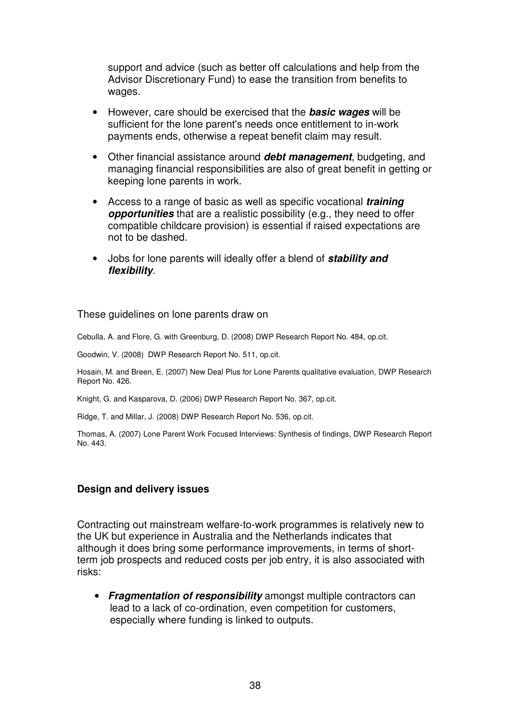support and advice (such as better off calculations and help from the Advisor Discretionary Fund) to ease the transition from benefits to wages.

- However, care should be exercised that the **basic wages** will be sufficient for the lone parent's needs once entitlement to in-work payments ends, otherwise a repeat benefit claim may result.
- Other financial assistance around **debt management**, budgeting, and managing financial responsibilities are also of great benefit in getting or keeping lone parents in work.
- Access to a range of basic as well as specific vocational **training opportunities** that are a realistic possibility (e.g., they need to offer compatible childcare provision) is essential if raised expectations are not to be dashed.
- Jobs for lone parents will ideally offer a blend of **stability and flexibility**.

#### These guidelines on lone parents draw on

Cebulla, A. and Flore, G. with Greenburg, D. (2008) DWP Research Report No. 484, op.cit.

Goodwin, V. (2008) DWP Research Report No. 511, op.cit.

Hosain, M. and Breen, E. (2007) New Deal Plus for Lone Parents qualitative evaluation, DWP Research Report No. 426.

Knight, G. and Kasparova, D. (2006) DWP Research Report No. 367, op.cit.

Ridge, T. and Millar, J. (2008) DWP Research Report No. 536, op.cit.

Thomas, A. (2007) Lone Parent Work Focused Interviews: Synthesis of findings, DWP Research Report No. 443.

#### **Design and delivery issues**

Contracting out mainstream welfare-to-work programmes is relatively new to the UK but experience in Australia and the Netherlands indicates that although it does bring some performance improvements, in terms of shortterm job prospects and reduced costs per job entry, it is also associated with risks:

• **Fragmentation of responsibility** amongst multiple contractors can lead to a lack of co-ordination, even competition for customers, especially where funding is linked to outputs.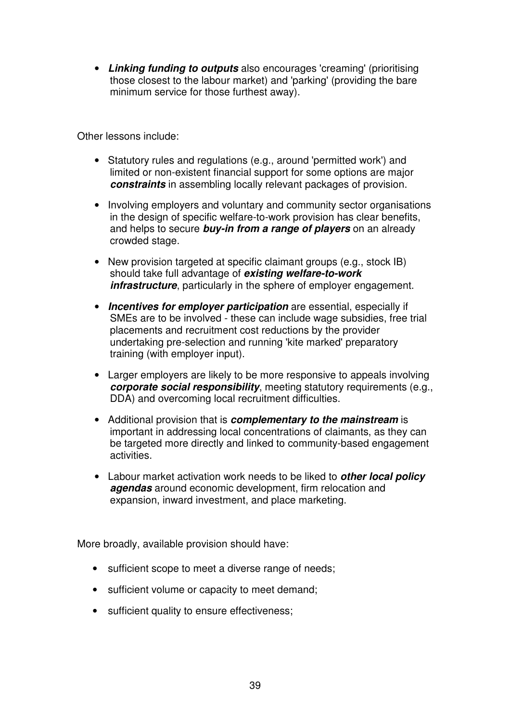• **Linking funding to outputs** also encourages 'creaming' (prioritising those closest to the labour market) and 'parking' (providing the bare minimum service for those furthest away).

Other lessons include:

- Statutory rules and regulations (e.g., around 'permitted work') and limited or non-existent financial support for some options are major **constraints** in assembling locally relevant packages of provision.
- Involving employers and voluntary and community sector organisations in the design of specific welfare-to-work provision has clear benefits, and helps to secure **buy-in from a range of players** on an already crowded stage.
- New provision targeted at specific claimant groups (e.g., stock IB) should take full advantage of **existing welfare-to-work**  *infrastructure*, particularly in the sphere of employer engagement.
- **Incentives for employer participation** are essential, especially if SMEs are to be involved - these can include wage subsidies, free trial placements and recruitment cost reductions by the provider undertaking pre-selection and running 'kite marked' preparatory training (with employer input).
- Larger employers are likely to be more responsive to appeals involving **corporate social responsibility**, meeting statutory requirements (e.g., DDA) and overcoming local recruitment difficulties.
- Additional provision that is **complementary to the mainstream** is important in addressing local concentrations of claimants, as they can be targeted more directly and linked to community-based engagement activities.
- Labour market activation work needs to be liked to **other local policy agendas** around economic development, firm relocation and expansion, inward investment, and place marketing.

More broadly, available provision should have:

- sufficient scope to meet a diverse range of needs;
- sufficient volume or capacity to meet demand;
- sufficient quality to ensure effectiveness;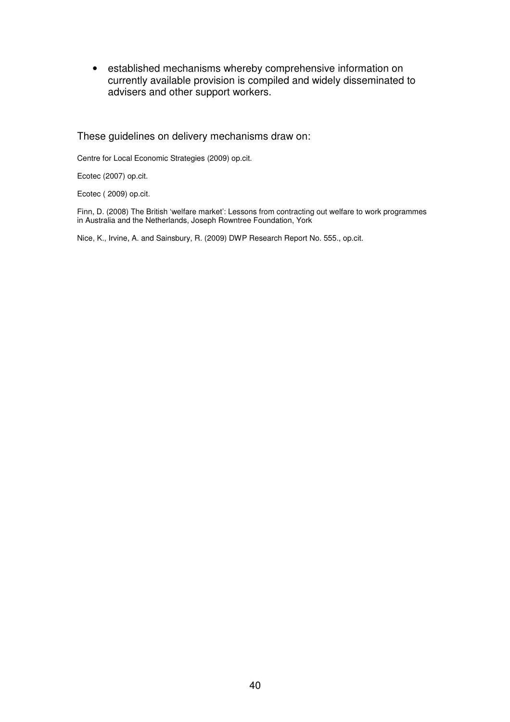• established mechanisms whereby comprehensive information on currently available provision is compiled and widely disseminated to advisers and other support workers.

These guidelines on delivery mechanisms draw on:

Centre for Local Economic Strategies (2009) op.cit.

Ecotec (2007) op.cit.

Ecotec ( 2009) op.cit.

Finn, D. (2008) The British 'welfare market': Lessons from contracting out welfare to work programmes in Australia and the Netherlands, Joseph Rowntree Foundation, York

Nice, K., Irvine, A. and Sainsbury, R. (2009) DWP Research Report No. 555., op.cit.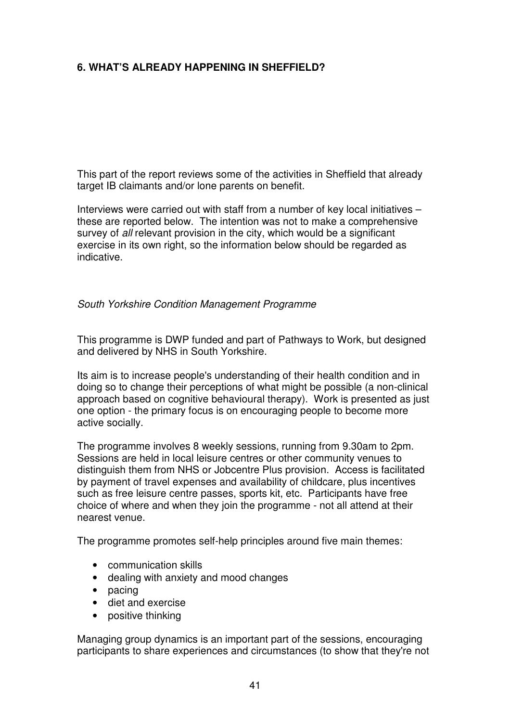## **6. WHAT'S ALREADY HAPPENING IN SHEFFIELD?**

This part of the report reviews some of the activities in Sheffield that already target IB claimants and/or lone parents on benefit.

Interviews were carried out with staff from a number of key local initiatives – these are reported below. The intention was not to make a comprehensive survey of all relevant provision in the city, which would be a significant exercise in its own right, so the information below should be regarded as indicative.

South Yorkshire Condition Management Programme

This programme is DWP funded and part of Pathways to Work, but designed and delivered by NHS in South Yorkshire.

Its aim is to increase people's understanding of their health condition and in doing so to change their perceptions of what might be possible (a non-clinical approach based on cognitive behavioural therapy). Work is presented as just one option - the primary focus is on encouraging people to become more active socially.

The programme involves 8 weekly sessions, running from 9.30am to 2pm. Sessions are held in local leisure centres or other community venues to distinguish them from NHS or Jobcentre Plus provision. Access is facilitated by payment of travel expenses and availability of childcare, plus incentives such as free leisure centre passes, sports kit, etc. Participants have free choice of where and when they join the programme - not all attend at their nearest venue.

The programme promotes self-help principles around five main themes:

- communication skills
- dealing with anxiety and mood changes
- pacing
- diet and exercise
- positive thinking

Managing group dynamics is an important part of the sessions, encouraging participants to share experiences and circumstances (to show that they're not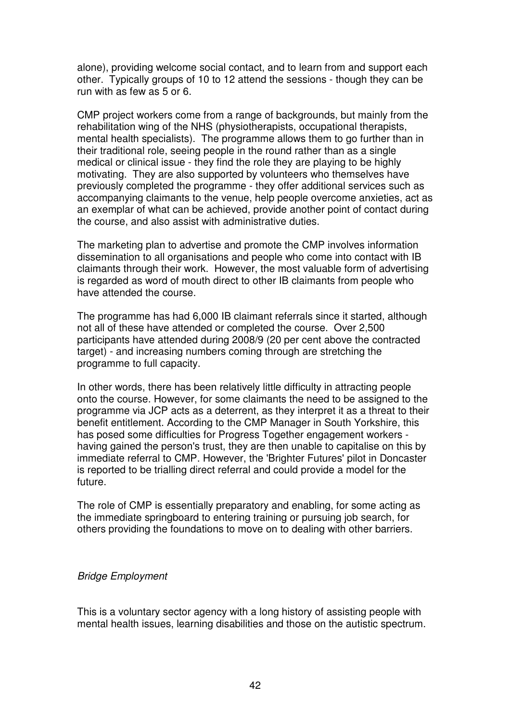alone), providing welcome social contact, and to learn from and support each other. Typically groups of 10 to 12 attend the sessions - though they can be run with as few as 5 or 6.

CMP project workers come from a range of backgrounds, but mainly from the rehabilitation wing of the NHS (physiotherapists, occupational therapists, mental health specialists). The programme allows them to go further than in their traditional role, seeing people in the round rather than as a single medical or clinical issue - they find the role they are playing to be highly motivating. They are also supported by volunteers who themselves have previously completed the programme - they offer additional services such as accompanying claimants to the venue, help people overcome anxieties, act as an exemplar of what can be achieved, provide another point of contact during the course, and also assist with administrative duties.

The marketing plan to advertise and promote the CMP involves information dissemination to all organisations and people who come into contact with IB claimants through their work. However, the most valuable form of advertising is regarded as word of mouth direct to other IB claimants from people who have attended the course.

The programme has had 6,000 IB claimant referrals since it started, although not all of these have attended or completed the course. Over 2,500 participants have attended during 2008/9 (20 per cent above the contracted target) - and increasing numbers coming through are stretching the programme to full capacity.

In other words, there has been relatively little difficulty in attracting people onto the course. However, for some claimants the need to be assigned to the programme via JCP acts as a deterrent, as they interpret it as a threat to their benefit entitlement. According to the CMP Manager in South Yorkshire, this has posed some difficulties for Progress Together engagement workers having gained the person's trust, they are then unable to capitalise on this by immediate referral to CMP. However, the 'Brighter Futures' pilot in Doncaster is reported to be trialling direct referral and could provide a model for the future.

The role of CMP is essentially preparatory and enabling, for some acting as the immediate springboard to entering training or pursuing job search, for others providing the foundations to move on to dealing with other barriers.

#### Bridge Employment

This is a voluntary sector agency with a long history of assisting people with mental health issues, learning disabilities and those on the autistic spectrum.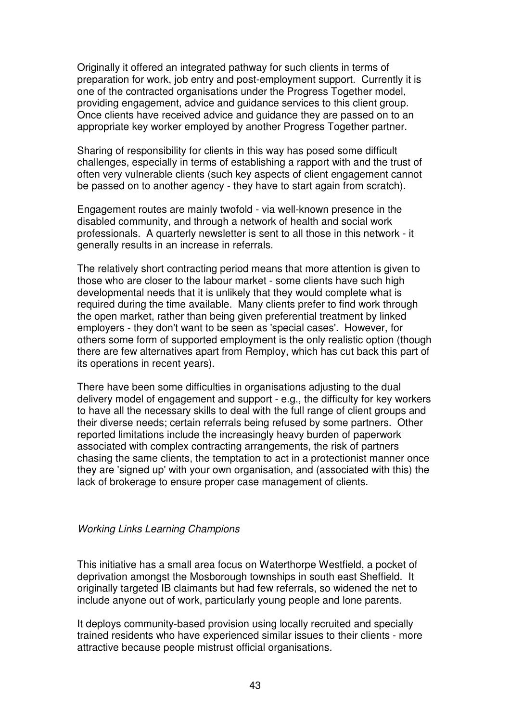Originally it offered an integrated pathway for such clients in terms of preparation for work, job entry and post-employment support. Currently it is one of the contracted organisations under the Progress Together model, providing engagement, advice and guidance services to this client group. Once clients have received advice and guidance they are passed on to an appropriate key worker employed by another Progress Together partner.

Sharing of responsibility for clients in this way has posed some difficult challenges, especially in terms of establishing a rapport with and the trust of often very vulnerable clients (such key aspects of client engagement cannot be passed on to another agency - they have to start again from scratch).

Engagement routes are mainly twofold - via well-known presence in the disabled community, and through a network of health and social work professionals. A quarterly newsletter is sent to all those in this network - it generally results in an increase in referrals.

The relatively short contracting period means that more attention is given to those who are closer to the labour market - some clients have such high developmental needs that it is unlikely that they would complete what is required during the time available. Many clients prefer to find work through the open market, rather than being given preferential treatment by linked employers - they don't want to be seen as 'special cases'. However, for others some form of supported employment is the only realistic option (though there are few alternatives apart from Remploy, which has cut back this part of its operations in recent years).

There have been some difficulties in organisations adjusting to the dual delivery model of engagement and support - e.g., the difficulty for key workers to have all the necessary skills to deal with the full range of client groups and their diverse needs; certain referrals being refused by some partners. Other reported limitations include the increasingly heavy burden of paperwork associated with complex contracting arrangements, the risk of partners chasing the same clients, the temptation to act in a protectionist manner once they are 'signed up' with your own organisation, and (associated with this) the lack of brokerage to ensure proper case management of clients.

#### Working Links Learning Champions

This initiative has a small area focus on Waterthorpe Westfield, a pocket of deprivation amongst the Mosborough townships in south east Sheffield. It originally targeted IB claimants but had few referrals, so widened the net to include anyone out of work, particularly young people and lone parents.

It deploys community-based provision using locally recruited and specially trained residents who have experienced similar issues to their clients - more attractive because people mistrust official organisations.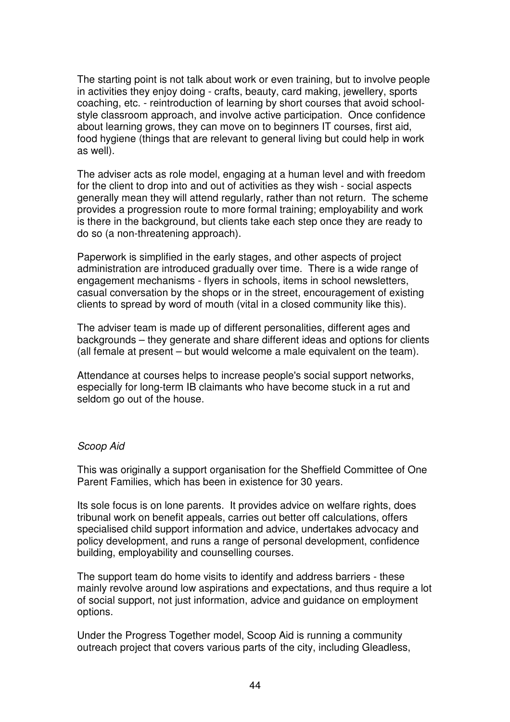The starting point is not talk about work or even training, but to involve people in activities they enjoy doing - crafts, beauty, card making, jewellery, sports coaching, etc. - reintroduction of learning by short courses that avoid schoolstyle classroom approach, and involve active participation. Once confidence about learning grows, they can move on to beginners IT courses, first aid, food hygiene (things that are relevant to general living but could help in work as well).

The adviser acts as role model, engaging at a human level and with freedom for the client to drop into and out of activities as they wish - social aspects generally mean they will attend regularly, rather than not return. The scheme provides a progression route to more formal training; employability and work is there in the background, but clients take each step once they are ready to do so (a non-threatening approach).

Paperwork is simplified in the early stages, and other aspects of project administration are introduced gradually over time. There is a wide range of engagement mechanisms - flyers in schools, items in school newsletters, casual conversation by the shops or in the street, encouragement of existing clients to spread by word of mouth (vital in a closed community like this).

The adviser team is made up of different personalities, different ages and backgrounds – they generate and share different ideas and options for clients (all female at present – but would welcome a male equivalent on the team).

Attendance at courses helps to increase people's social support networks, especially for long-term IB claimants who have become stuck in a rut and seldom go out of the house.

#### Scoop Aid

This was originally a support organisation for the Sheffield Committee of One Parent Families, which has been in existence for 30 years.

Its sole focus is on lone parents. It provides advice on welfare rights, does tribunal work on benefit appeals, carries out better off calculations, offers specialised child support information and advice, undertakes advocacy and policy development, and runs a range of personal development, confidence building, employability and counselling courses.

The support team do home visits to identify and address barriers - these mainly revolve around low aspirations and expectations, and thus require a lot of social support, not just information, advice and guidance on employment options.

Under the Progress Together model, Scoop Aid is running a community outreach project that covers various parts of the city, including Gleadless,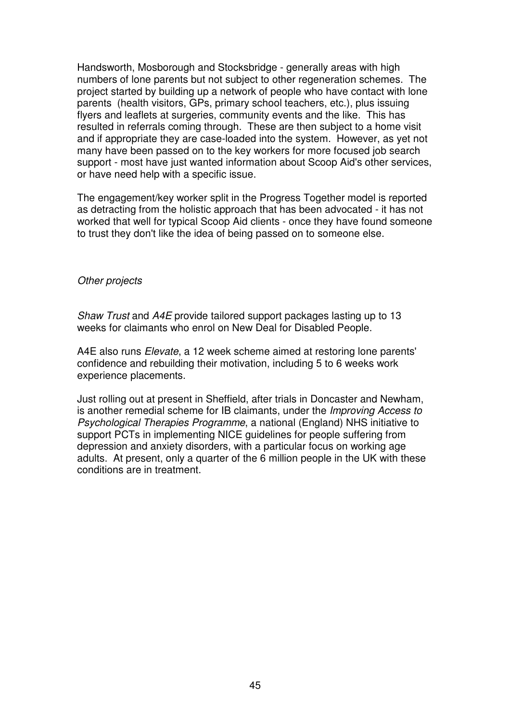Handsworth, Mosborough and Stocksbridge - generally areas with high numbers of lone parents but not subject to other regeneration schemes. The project started by building up a network of people who have contact with lone parents (health visitors, GPs, primary school teachers, etc.), plus issuing flyers and leaflets at surgeries, community events and the like. This has resulted in referrals coming through. These are then subject to a home visit and if appropriate they are case-loaded into the system. However, as yet not many have been passed on to the key workers for more focused job search support - most have just wanted information about Scoop Aid's other services, or have need help with a specific issue.

The engagement/key worker split in the Progress Together model is reported as detracting from the holistic approach that has been advocated - it has not worked that well for typical Scoop Aid clients - once they have found someone to trust they don't like the idea of being passed on to someone else.

#### Other projects

Shaw Trust and A4E provide tailored support packages lasting up to 13 weeks for claimants who enrol on New Deal for Disabled People.

A4E also runs Elevate, a 12 week scheme aimed at restoring lone parents' confidence and rebuilding their motivation, including 5 to 6 weeks work experience placements.

Just rolling out at present in Sheffield, after trials in Doncaster and Newham, is another remedial scheme for IB claimants, under the Improving Access to Psychological Therapies Programme, a national (England) NHS initiative to support PCTs in implementing NICE guidelines for people suffering from depression and anxiety disorders, with a particular focus on working age adults. At present, only a quarter of the 6 million people in the UK with these conditions are in treatment.